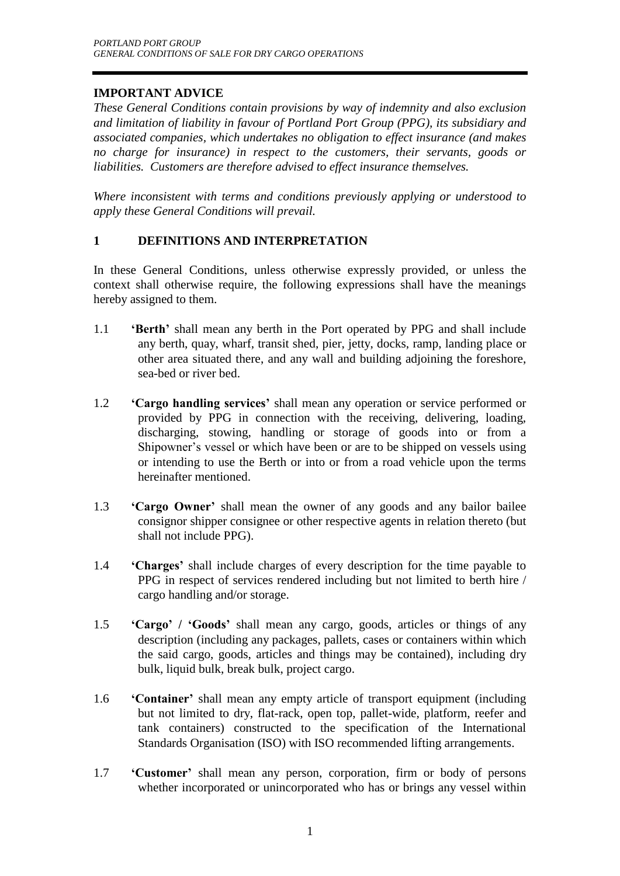# **IMPORTANT ADVICE**

*These General Conditions contain provisions by way of indemnity and also exclusion and limitation of liability in favour of Portland Port Group (PPG), its subsidiary and associated companies, which undertakes no obligation to effect insurance (and makes no charge for insurance) in respect to the customers, their servants, goods or liabilities. Customers are therefore advised to effect insurance themselves.*

*Where inconsistent with terms and conditions previously applying or understood to apply these General Conditions will prevail.*

# **1 DEFINITIONS AND INTERPRETATION**

In these General Conditions, unless otherwise expressly provided, or unless the context shall otherwise require, the following expressions shall have the meanings hereby assigned to them.

- 1.1 **'Berth'** shall mean any berth in the Port operated by PPG and shall include any berth, quay, wharf, transit shed, pier, jetty, docks, ramp, landing place or other area situated there, and any wall and building adjoining the foreshore, sea-bed or river bed.
- 1.2 **'Cargo handling services'** shall mean any operation or service performed or provided by PPG in connection with the receiving, delivering, loading, discharging, stowing, handling or storage of goods into or from a Shipowner's vessel or which have been or are to be shipped on vessels using or intending to use the Berth or into or from a road vehicle upon the terms hereinafter mentioned.
- 1.3 **'Cargo Owner'** shall mean the owner of any goods and any bailor bailee consignor shipper consignee or other respective agents in relation thereto (but shall not include PPG).
- 1.4 **'Charges'** shall include charges of every description for the time payable to PPG in respect of services rendered including but not limited to berth hire / cargo handling and/or storage.
- 1.5 **'Cargo' / 'Goods'** shall mean any cargo, goods, articles or things of any description (including any packages, pallets, cases or containers within which the said cargo, goods, articles and things may be contained), including dry bulk, liquid bulk, break bulk, project cargo.
- 1.6 **'Container'** shall mean any empty article of transport equipment (including but not limited to dry, flat-rack, open top, pallet-wide, platform, reefer and tank containers) constructed to the specification of the International Standards Organisation (ISO) with ISO recommended lifting arrangements.
- 1.7 **'Customer'** shall mean any person, corporation, firm or body of persons whether incorporated or unincorporated who has or brings any vessel within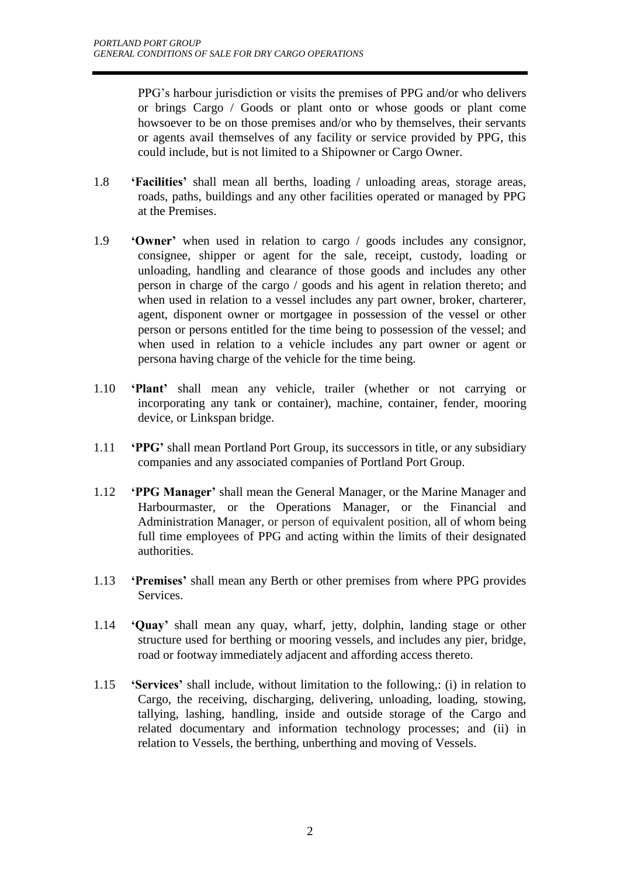PPG's harbour jurisdiction or visits the premises of PPG and/or who delivers or brings Cargo / Goods or plant onto or whose goods or plant come howsoever to be on those premises and/or who by themselves, their servants or agents avail themselves of any facility or service provided by PPG, this could include, but is not limited to a Shipowner or Cargo Owner.

- 1.8 **'Facilities'** shall mean all berths, loading / unloading areas, storage areas, roads, paths, buildings and any other facilities operated or managed by PPG at the Premises.
- 1.9 **'Owner'** when used in relation to cargo / goods includes any consignor, consignee, shipper or agent for the sale, receipt, custody, loading or unloading, handling and clearance of those goods and includes any other person in charge of the cargo / goods and his agent in relation thereto; and when used in relation to a vessel includes any part owner, broker, charterer, agent, disponent owner or mortgagee in possession of the vessel or other person or persons entitled for the time being to possession of the vessel; and when used in relation to a vehicle includes any part owner or agent or persona having charge of the vehicle for the time being.
- 1.10 **'Plant'** shall mean any vehicle, trailer (whether or not carrying or incorporating any tank or container), machine, container, fender, mooring device, or Linkspan bridge.
- 1.11 **'PPG'** shall mean Portland Port Group, its successors in title, or any subsidiary companies and any associated companies of Portland Port Group.
- 1.12 **'PPG Manager'** shall mean the General Manager, or the Marine Manager and Harbourmaster, or the Operations Manager, or the Financial and Administration Manager, or person of equivalent position, all of whom being full time employees of PPG and acting within the limits of their designated authorities.
- 1.13 **'Premises'** shall mean any Berth or other premises from where PPG provides Services.
- 1.14 **'Quay'** shall mean any quay, wharf, jetty, dolphin, landing stage or other structure used for berthing or mooring vessels, and includes any pier, bridge, road or footway immediately adjacent and affording access thereto.
- 1.15 **'Services'** shall include, without limitation to the following,: (i) in relation to Cargo, the receiving, discharging, delivering, unloading, loading, stowing, tallying, lashing, handling, inside and outside storage of the Cargo and related documentary and information technology processes; and (ii) in relation to Vessels, the berthing, unberthing and moving of Vessels.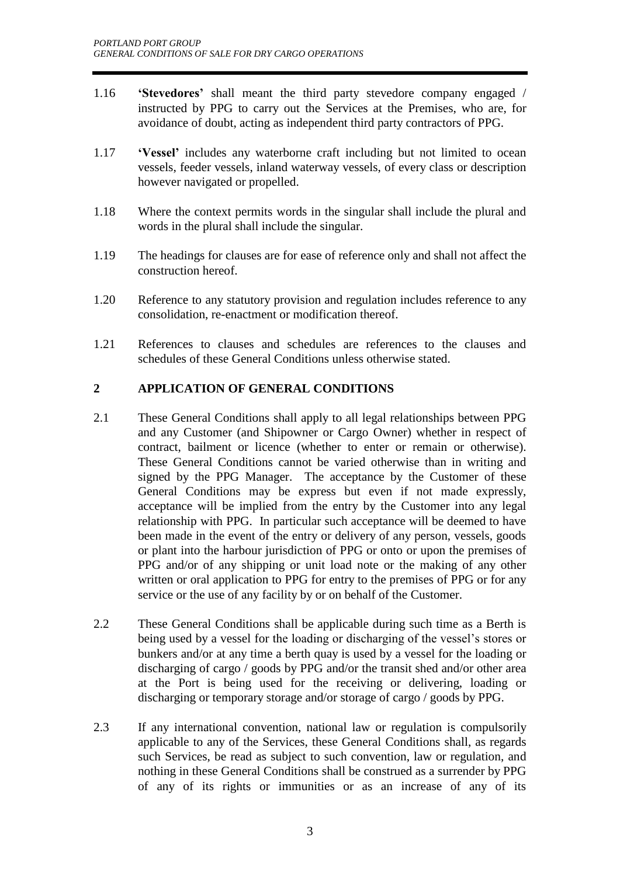- 1.16 **'Stevedores'** shall meant the third party stevedore company engaged / instructed by PPG to carry out the Services at the Premises, who are, for avoidance of doubt, acting as independent third party contractors of PPG.
- 1.17 **'Vessel'** includes any waterborne craft including but not limited to ocean vessels, feeder vessels, inland waterway vessels, of every class or description however navigated or propelled.
- 1.18 Where the context permits words in the singular shall include the plural and words in the plural shall include the singular.
- 1.19 The headings for clauses are for ease of reference only and shall not affect the construction hereof.
- 1.20 Reference to any statutory provision and regulation includes reference to any consolidation, re-enactment or modification thereof.
- 1.21 References to clauses and schedules are references to the clauses and schedules of these General Conditions unless otherwise stated.

# **2 APPLICATION OF GENERAL CONDITIONS**

- 2.1 These General Conditions shall apply to all legal relationships between PPG and any Customer (and Shipowner or Cargo Owner) whether in respect of contract, bailment or licence (whether to enter or remain or otherwise). These General Conditions cannot be varied otherwise than in writing and signed by the PPG Manager. The acceptance by the Customer of these General Conditions may be express but even if not made expressly, acceptance will be implied from the entry by the Customer into any legal relationship with PPG. In particular such acceptance will be deemed to have been made in the event of the entry or delivery of any person, vessels, goods or plant into the harbour jurisdiction of PPG or onto or upon the premises of PPG and/or of any shipping or unit load note or the making of any other written or oral application to PPG for entry to the premises of PPG or for any service or the use of any facility by or on behalf of the Customer.
- 2.2 These General Conditions shall be applicable during such time as a Berth is being used by a vessel for the loading or discharging of the vessel's stores or bunkers and/or at any time a berth quay is used by a vessel for the loading or discharging of cargo / goods by PPG and/or the transit shed and/or other area at the Port is being used for the receiving or delivering, loading or discharging or temporary storage and/or storage of cargo / goods by PPG.
- 2.3 If any international convention, national law or regulation is compulsorily applicable to any of the Services, these General Conditions shall, as regards such Services, be read as subject to such convention, law or regulation, and nothing in these General Conditions shall be construed as a surrender by PPG of any of its rights or immunities or as an increase of any of its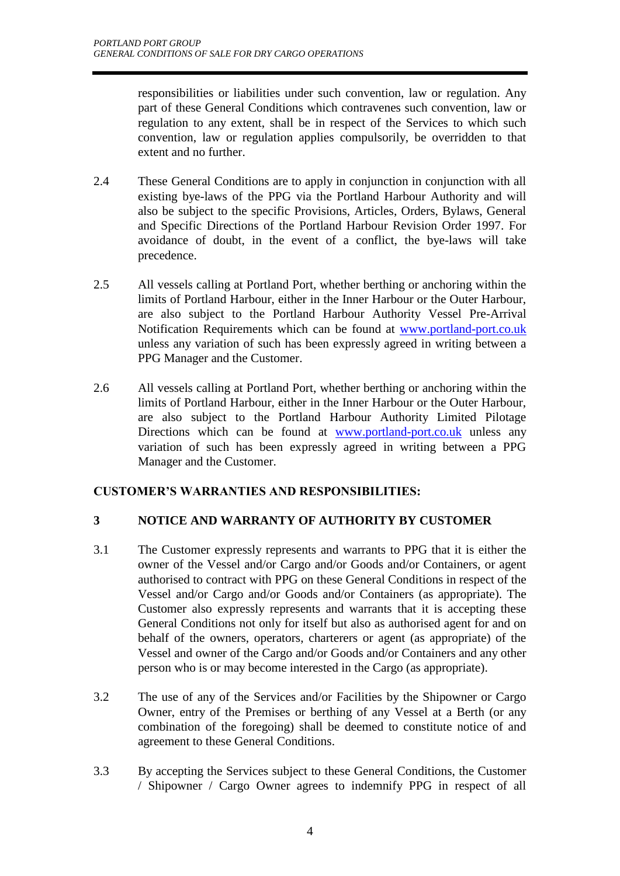responsibilities or liabilities under such convention, law or regulation. Any part of these General Conditions which contravenes such convention, law or regulation to any extent, shall be in respect of the Services to which such convention, law or regulation applies compulsorily, be overridden to that extent and no further.

- 2.4 These General Conditions are to apply in conjunction in conjunction with all existing bye-laws of the PPG via the Portland Harbour Authority and will also be subject to the specific Provisions, Articles, Orders, Bylaws, General and Specific Directions of the Portland Harbour Revision Order 1997. For avoidance of doubt, in the event of a conflict, the bye-laws will take precedence.
- 2.5 All vessels calling at Portland Port, whether berthing or anchoring within the limits of Portland Harbour, either in the Inner Harbour or the Outer Harbour, are also subject to the Portland Harbour Authority Vessel Pre-Arrival Notification Requirements which can be found at [www.portland-port.co.uk](http://www.portland-port.co.uk/) unless any variation of such has been expressly agreed in writing between a PPG Manager and the Customer.
- 2.6 All vessels calling at Portland Port, whether berthing or anchoring within the limits of Portland Harbour, either in the Inner Harbour or the Outer Harbour, are also subject to the Portland Harbour Authority Limited Pilotage Directions which can be found at [www.portland-port.co.uk](http://www.portland-port.co.uk/) unless any variation of such has been expressly agreed in writing between a PPG Manager and the Customer.

# **CUSTOMER'S WARRANTIES AND RESPONSIBILITIES:**

# **3 NOTICE AND WARRANTY OF AUTHORITY BY CUSTOMER**

- 3.1 The Customer expressly represents and warrants to PPG that it is either the owner of the Vessel and/or Cargo and/or Goods and/or Containers, or agent authorised to contract with PPG on these General Conditions in respect of the Vessel and/or Cargo and/or Goods and/or Containers (as appropriate). The Customer also expressly represents and warrants that it is accepting these General Conditions not only for itself but also as authorised agent for and on behalf of the owners, operators, charterers or agent (as appropriate) of the Vessel and owner of the Cargo and/or Goods and/or Containers and any other person who is or may become interested in the Cargo (as appropriate).
- 3.2 The use of any of the Services and/or Facilities by the Shipowner or Cargo Owner, entry of the Premises or berthing of any Vessel at a Berth (or any combination of the foregoing) shall be deemed to constitute notice of and agreement to these General Conditions.
- 3.3 By accepting the Services subject to these General Conditions, the Customer / Shipowner / Cargo Owner agrees to indemnify PPG in respect of all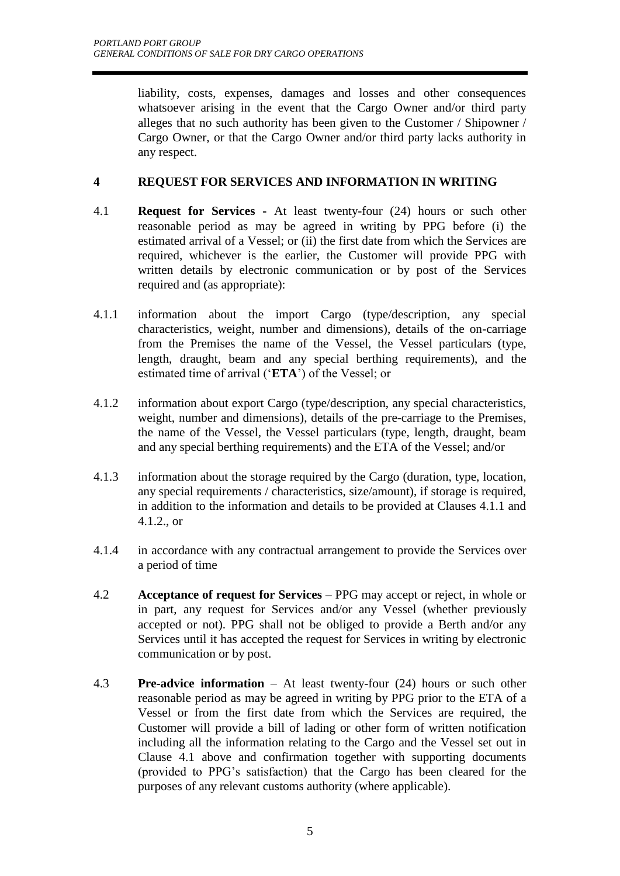liability, costs, expenses, damages and losses and other consequences whatsoever arising in the event that the Cargo Owner and/or third party alleges that no such authority has been given to the Customer / Shipowner / Cargo Owner, or that the Cargo Owner and/or third party lacks authority in any respect.

# **4 REQUEST FOR SERVICES AND INFORMATION IN WRITING**

- 4.1 **Request for Services -** At least twenty-four (24) hours or such other reasonable period as may be agreed in writing by PPG before (i) the estimated arrival of a Vessel; or (ii) the first date from which the Services are required, whichever is the earlier, the Customer will provide PPG with written details by electronic communication or by post of the Services required and (as appropriate):
- 4.1.1 information about the import Cargo (type/description, any special characteristics, weight, number and dimensions), details of the on-carriage from the Premises the name of the Vessel, the Vessel particulars (type, length, draught, beam and any special berthing requirements), and the estimated time of arrival ('**ETA**') of the Vessel; or
- 4.1.2 information about export Cargo (type/description, any special characteristics, weight, number and dimensions), details of the pre-carriage to the Premises, the name of the Vessel, the Vessel particulars (type, length, draught, beam and any special berthing requirements) and the ETA of the Vessel; and/or
- 4.1.3 information about the storage required by the Cargo (duration, type, location, any special requirements / characteristics, size/amount), if storage is required, in addition to the information and details to be provided at Clauses 4.1.1 and 4.1.2., or
- 4.1.4 in accordance with any contractual arrangement to provide the Services over a period of time
- 4.2 **Acceptance of request for Services** PPG may accept or reject, in whole or in part, any request for Services and/or any Vessel (whether previously accepted or not). PPG shall not be obliged to provide a Berth and/or any Services until it has accepted the request for Services in writing by electronic communication or by post.
- 4.3 **Pre-advice information** At least twenty-four (24) hours or such other reasonable period as may be agreed in writing by PPG prior to the ETA of a Vessel or from the first date from which the Services are required, the Customer will provide a bill of lading or other form of written notification including all the information relating to the Cargo and the Vessel set out in Clause 4.1 above and confirmation together with supporting documents (provided to PPG's satisfaction) that the Cargo has been cleared for the purposes of any relevant customs authority (where applicable).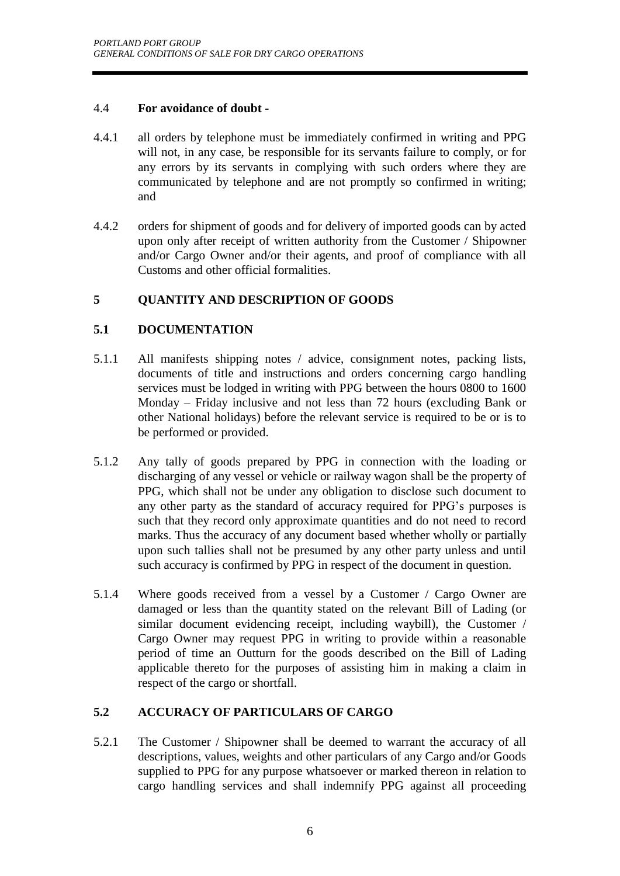# 4.4 **For avoidance of doubt -**

- 4.4.1 all orders by telephone must be immediately confirmed in writing and PPG will not, in any case, be responsible for its servants failure to comply, or for any errors by its servants in complying with such orders where they are communicated by telephone and are not promptly so confirmed in writing; and
- 4.4.2 orders for shipment of goods and for delivery of imported goods can by acted upon only after receipt of written authority from the Customer / Shipowner and/or Cargo Owner and/or their agents, and proof of compliance with all Customs and other official formalities.

# **5 QUANTITY AND DESCRIPTION OF GOODS**

# **5.1 DOCUMENTATION**

- 5.1.1 All manifests shipping notes / advice, consignment notes, packing lists, documents of title and instructions and orders concerning cargo handling services must be lodged in writing with PPG between the hours 0800 to 1600 Monday – Friday inclusive and not less than 72 hours (excluding Bank or other National holidays) before the relevant service is required to be or is to be performed or provided.
- 5.1.2 Any tally of goods prepared by PPG in connection with the loading or discharging of any vessel or vehicle or railway wagon shall be the property of PPG, which shall not be under any obligation to disclose such document to any other party as the standard of accuracy required for PPG's purposes is such that they record only approximate quantities and do not need to record marks. Thus the accuracy of any document based whether wholly or partially upon such tallies shall not be presumed by any other party unless and until such accuracy is confirmed by PPG in respect of the document in question.
- 5.1.4 Where goods received from a vessel by a Customer / Cargo Owner are damaged or less than the quantity stated on the relevant Bill of Lading (or similar document evidencing receipt, including waybill), the Customer / Cargo Owner may request PPG in writing to provide within a reasonable period of time an Outturn for the goods described on the Bill of Lading applicable thereto for the purposes of assisting him in making a claim in respect of the cargo or shortfall.

# **5.2 ACCURACY OF PARTICULARS OF CARGO**

5.2.1 The Customer / Shipowner shall be deemed to warrant the accuracy of all descriptions, values, weights and other particulars of any Cargo and/or Goods supplied to PPG for any purpose whatsoever or marked thereon in relation to cargo handling services and shall indemnify PPG against all proceeding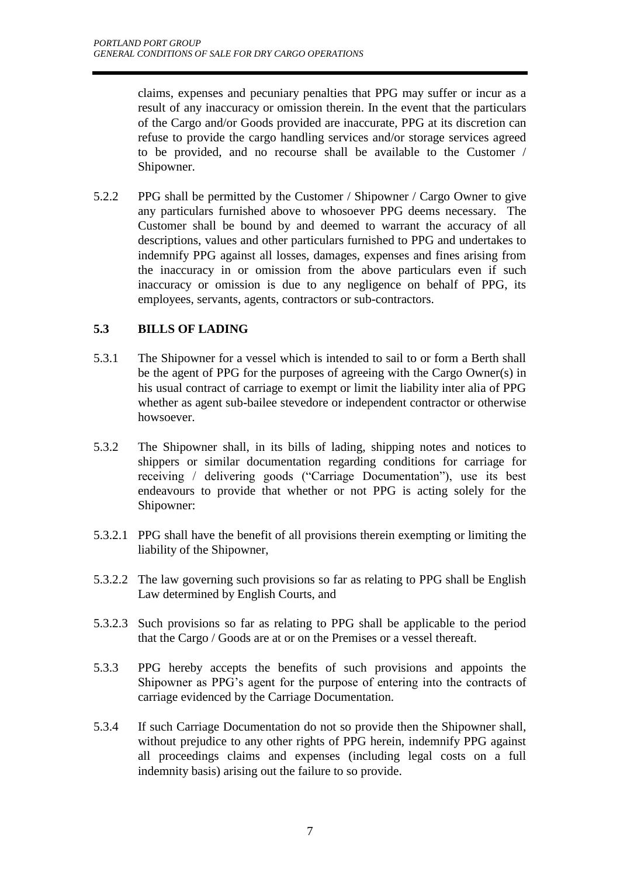claims, expenses and pecuniary penalties that PPG may suffer or incur as a result of any inaccuracy or omission therein. In the event that the particulars of the Cargo and/or Goods provided are inaccurate, PPG at its discretion can refuse to provide the cargo handling services and/or storage services agreed to be provided, and no recourse shall be available to the Customer / Shipowner.

5.2.2 PPG shall be permitted by the Customer / Shipowner / Cargo Owner to give any particulars furnished above to whosoever PPG deems necessary. The Customer shall be bound by and deemed to warrant the accuracy of all descriptions, values and other particulars furnished to PPG and undertakes to indemnify PPG against all losses, damages, expenses and fines arising from the inaccuracy in or omission from the above particulars even if such inaccuracy or omission is due to any negligence on behalf of PPG, its employees, servants, agents, contractors or sub-contractors.

# **5.3 BILLS OF LADING**

- 5.3.1 The Shipowner for a vessel which is intended to sail to or form a Berth shall be the agent of PPG for the purposes of agreeing with the Cargo Owner(s) in his usual contract of carriage to exempt or limit the liability inter alia of PPG whether as agent sub-bailee stevedore or independent contractor or otherwise howsoever.
- 5.3.2 The Shipowner shall, in its bills of lading, shipping notes and notices to shippers or similar documentation regarding conditions for carriage for receiving / delivering goods ("Carriage Documentation"), use its best endeavours to provide that whether or not PPG is acting solely for the Shipowner:
- 5.3.2.1 PPG shall have the benefit of all provisions therein exempting or limiting the liability of the Shipowner,
- 5.3.2.2 The law governing such provisions so far as relating to PPG shall be English Law determined by English Courts, and
- 5.3.2.3 Such provisions so far as relating to PPG shall be applicable to the period that the Cargo / Goods are at or on the Premises or a vessel thereaft.
- 5.3.3 PPG hereby accepts the benefits of such provisions and appoints the Shipowner as PPG's agent for the purpose of entering into the contracts of carriage evidenced by the Carriage Documentation.
- 5.3.4 If such Carriage Documentation do not so provide then the Shipowner shall, without prejudice to any other rights of PPG herein, indemnify PPG against all proceedings claims and expenses (including legal costs on a full indemnity basis) arising out the failure to so provide.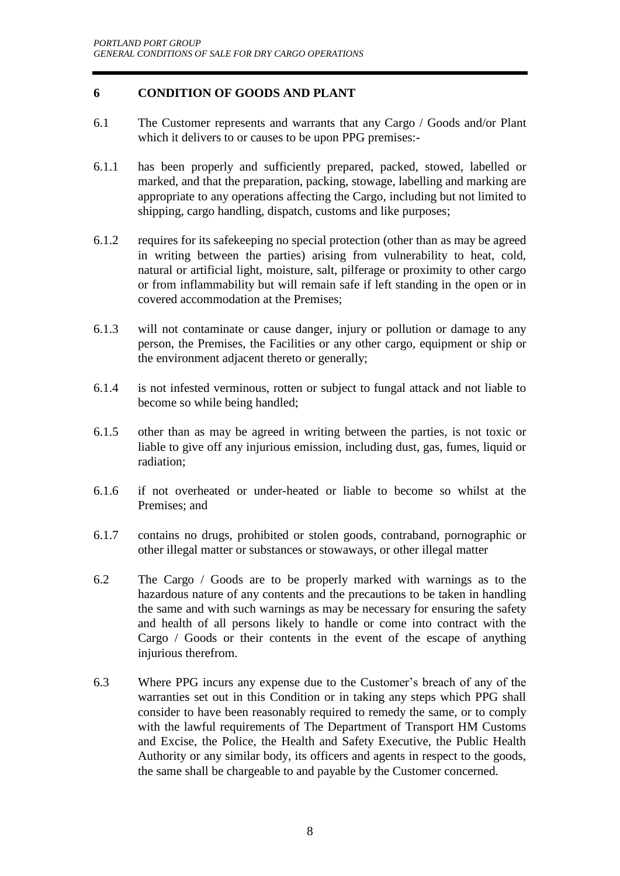# **6 CONDITION OF GOODS AND PLANT**

- 6.1 The Customer represents and warrants that any Cargo / Goods and/or Plant which it delivers to or causes to be upon PPG premises:-
- 6.1.1 has been properly and sufficiently prepared, packed, stowed, labelled or marked, and that the preparation, packing, stowage, labelling and marking are appropriate to any operations affecting the Cargo, including but not limited to shipping, cargo handling, dispatch, customs and like purposes;
- 6.1.2 requires for its safekeeping no special protection (other than as may be agreed in writing between the parties) arising from vulnerability to heat, cold, natural or artificial light, moisture, salt, pilferage or proximity to other cargo or from inflammability but will remain safe if left standing in the open or in covered accommodation at the Premises;
- 6.1.3 will not contaminate or cause danger, injury or pollution or damage to any person, the Premises, the Facilities or any other cargo, equipment or ship or the environment adjacent thereto or generally;
- 6.1.4 is not infested verminous, rotten or subject to fungal attack and not liable to become so while being handled;
- 6.1.5 other than as may be agreed in writing between the parties, is not toxic or liable to give off any injurious emission, including dust, gas, fumes, liquid or radiation;
- 6.1.6 if not overheated or under-heated or liable to become so whilst at the Premises; and
- 6.1.7 contains no drugs, prohibited or stolen goods, contraband, pornographic or other illegal matter or substances or stowaways, or other illegal matter
- 6.2 The Cargo / Goods are to be properly marked with warnings as to the hazardous nature of any contents and the precautions to be taken in handling the same and with such warnings as may be necessary for ensuring the safety and health of all persons likely to handle or come into contract with the Cargo / Goods or their contents in the event of the escape of anything injurious therefrom.
- 6.3 Where PPG incurs any expense due to the Customer's breach of any of the warranties set out in this Condition or in taking any steps which PPG shall consider to have been reasonably required to remedy the same, or to comply with the lawful requirements of The Department of Transport HM Customs and Excise, the Police, the Health and Safety Executive, the Public Health Authority or any similar body, its officers and agents in respect to the goods, the same shall be chargeable to and payable by the Customer concerned.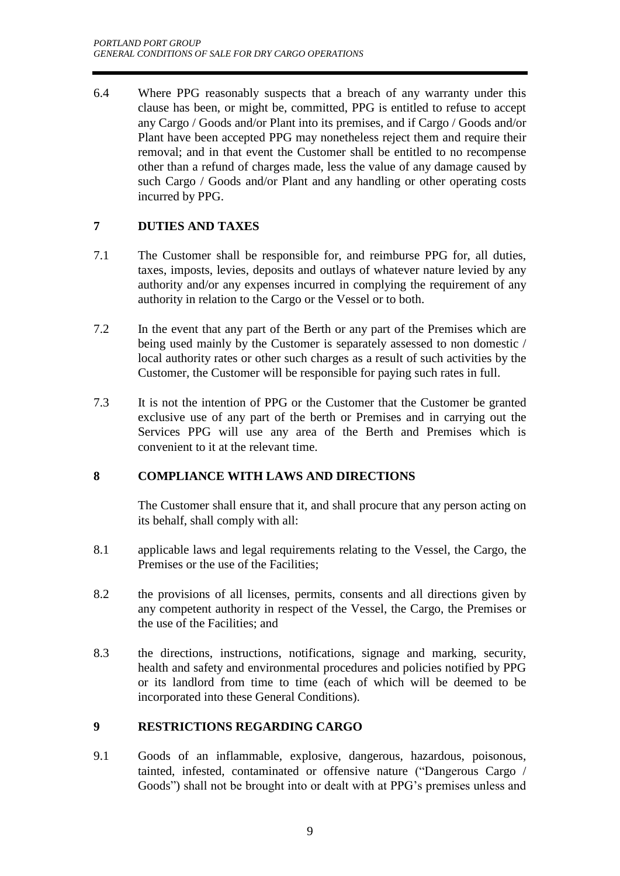6.4 Where PPG reasonably suspects that a breach of any warranty under this clause has been, or might be, committed, PPG is entitled to refuse to accept any Cargo / Goods and/or Plant into its premises, and if Cargo / Goods and/or Plant have been accepted PPG may nonetheless reject them and require their removal; and in that event the Customer shall be entitled to no recompense other than a refund of charges made, less the value of any damage caused by such Cargo / Goods and/or Plant and any handling or other operating costs incurred by PPG.

# **7 DUTIES AND TAXES**

- 7.1 The Customer shall be responsible for, and reimburse PPG for, all duties, taxes, imposts, levies, deposits and outlays of whatever nature levied by any authority and/or any expenses incurred in complying the requirement of any authority in relation to the Cargo or the Vessel or to both.
- 7.2 In the event that any part of the Berth or any part of the Premises which are being used mainly by the Customer is separately assessed to non domestic / local authority rates or other such charges as a result of such activities by the Customer, the Customer will be responsible for paying such rates in full.
- 7.3 It is not the intention of PPG or the Customer that the Customer be granted exclusive use of any part of the berth or Premises and in carrying out the Services PPG will use any area of the Berth and Premises which is convenient to it at the relevant time.

# **8 COMPLIANCE WITH LAWS AND DIRECTIONS**

The Customer shall ensure that it, and shall procure that any person acting on its behalf, shall comply with all:

- 8.1 applicable laws and legal requirements relating to the Vessel, the Cargo, the Premises or the use of the Facilities;
- 8.2 the provisions of all licenses, permits, consents and all directions given by any competent authority in respect of the Vessel, the Cargo, the Premises or the use of the Facilities; and
- 8.3 the directions, instructions, notifications, signage and marking, security, health and safety and environmental procedures and policies notified by PPG or its landlord from time to time (each of which will be deemed to be incorporated into these General Conditions).

# **9 RESTRICTIONS REGARDING CARGO**

9.1 Goods of an inflammable, explosive, dangerous, hazardous, poisonous, tainted, infested, contaminated or offensive nature ("Dangerous Cargo / Goods") shall not be brought into or dealt with at PPG's premises unless and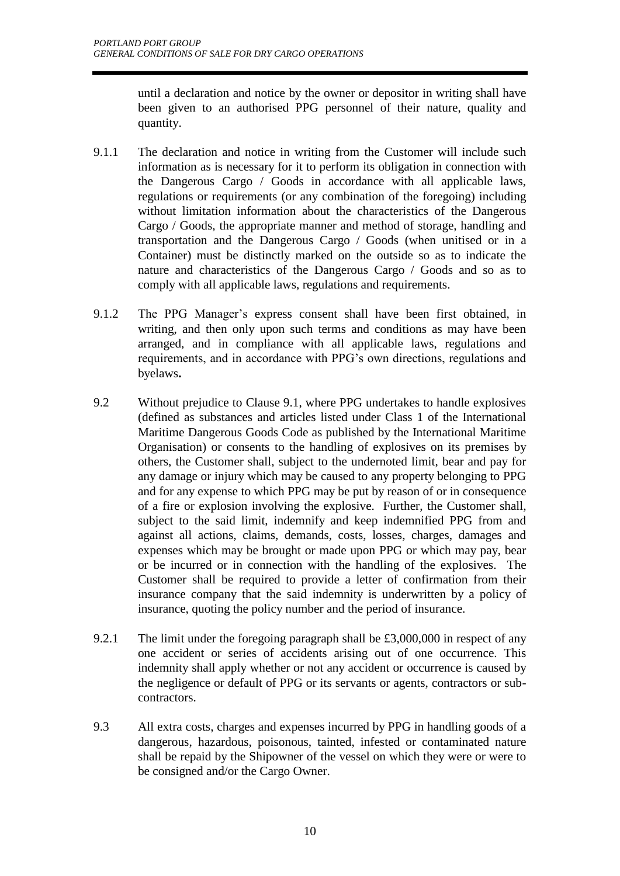until a declaration and notice by the owner or depositor in writing shall have been given to an authorised PPG personnel of their nature, quality and quantity.

- 9.1.1 The declaration and notice in writing from the Customer will include such information as is necessary for it to perform its obligation in connection with the Dangerous Cargo / Goods in accordance with all applicable laws, regulations or requirements (or any combination of the foregoing) including without limitation information about the characteristics of the Dangerous Cargo / Goods, the appropriate manner and method of storage, handling and transportation and the Dangerous Cargo / Goods (when unitised or in a Container) must be distinctly marked on the outside so as to indicate the nature and characteristics of the Dangerous Cargo / Goods and so as to comply with all applicable laws, regulations and requirements.
- 9.1.2 The PPG Manager's express consent shall have been first obtained, in writing, and then only upon such terms and conditions as may have been arranged, and in compliance with all applicable laws, regulations and requirements, and in accordance with PPG's own directions, regulations and byelaws**.**
- 9.2 Without prejudice to Clause 9.1, where PPG undertakes to handle explosives (defined as substances and articles listed under Class 1 of the International Maritime Dangerous Goods Code as published by the International Maritime Organisation) or consents to the handling of explosives on its premises by others, the Customer shall, subject to the undernoted limit, bear and pay for any damage or injury which may be caused to any property belonging to PPG and for any expense to which PPG may be put by reason of or in consequence of a fire or explosion involving the explosive. Further, the Customer shall, subject to the said limit, indemnify and keep indemnified PPG from and against all actions, claims, demands, costs, losses, charges, damages and expenses which may be brought or made upon PPG or which may pay, bear or be incurred or in connection with the handling of the explosives. The Customer shall be required to provide a letter of confirmation from their insurance company that the said indemnity is underwritten by a policy of insurance, quoting the policy number and the period of insurance.
- 9.2.1 The limit under the foregoing paragraph shall be £3,000,000 in respect of any one accident or series of accidents arising out of one occurrence. This indemnity shall apply whether or not any accident or occurrence is caused by the negligence or default of PPG or its servants or agents, contractors or subcontractors.
- 9.3 All extra costs, charges and expenses incurred by PPG in handling goods of a dangerous, hazardous, poisonous, tainted, infested or contaminated nature shall be repaid by the Shipowner of the vessel on which they were or were to be consigned and/or the Cargo Owner.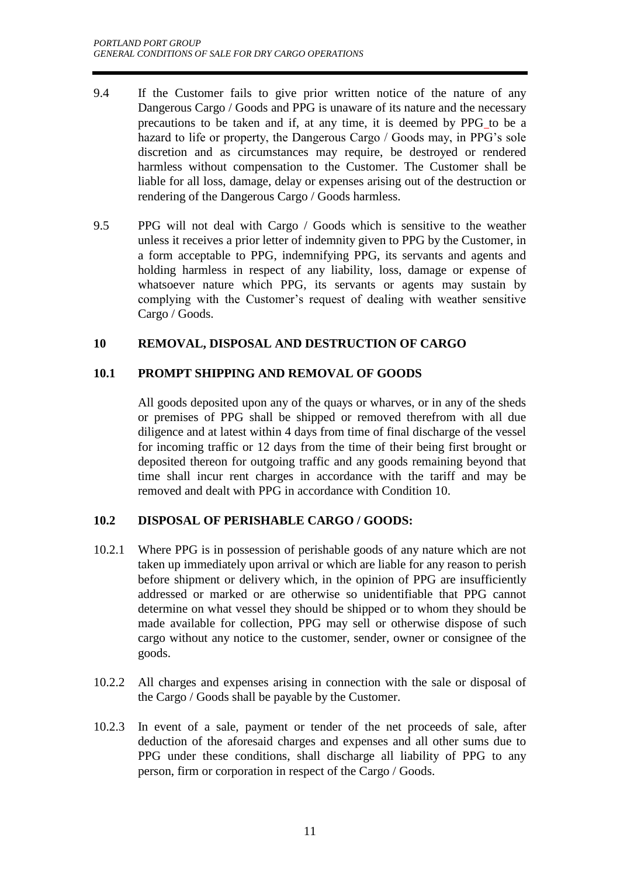- 9.4 If the Customer fails to give prior written notice of the nature of any Dangerous Cargo / Goods and PPG is unaware of its nature and the necessary precautions to be taken and if, at any time, it is deemed by PPG to be a hazard to life or property, the Dangerous Cargo / Goods may, in PPG's sole discretion and as circumstances may require, be destroyed or rendered harmless without compensation to the Customer. The Customer shall be liable for all loss, damage, delay or expenses arising out of the destruction or rendering of the Dangerous Cargo / Goods harmless.
- 9.5 PPG will not deal with Cargo / Goods which is sensitive to the weather unless it receives a prior letter of indemnity given to PPG by the Customer, in a form acceptable to PPG, indemnifying PPG, its servants and agents and holding harmless in respect of any liability, loss, damage or expense of whatsoever nature which PPG, its servants or agents may sustain by complying with the Customer's request of dealing with weather sensitive Cargo / Goods.

# **10 REMOVAL, DISPOSAL AND DESTRUCTION OF CARGO**

# **10.1 PROMPT SHIPPING AND REMOVAL OF GOODS**

All goods deposited upon any of the quays or wharves, or in any of the sheds or premises of PPG shall be shipped or removed therefrom with all due diligence and at latest within 4 days from time of final discharge of the vessel for incoming traffic or 12 days from the time of their being first brought or deposited thereon for outgoing traffic and any goods remaining beyond that time shall incur rent charges in accordance with the tariff and may be removed and dealt with PPG in accordance with Condition 10.

#### **10.2 DISPOSAL OF PERISHABLE CARGO / GOODS:**

- 10.2.1 Where PPG is in possession of perishable goods of any nature which are not taken up immediately upon arrival or which are liable for any reason to perish before shipment or delivery which, in the opinion of PPG are insufficiently addressed or marked or are otherwise so unidentifiable that PPG cannot determine on what vessel they should be shipped or to whom they should be made available for collection, PPG may sell or otherwise dispose of such cargo without any notice to the customer, sender, owner or consignee of the goods.
- 10.2.2 All charges and expenses arising in connection with the sale or disposal of the Cargo / Goods shall be payable by the Customer.
- 10.2.3 In event of a sale, payment or tender of the net proceeds of sale, after deduction of the aforesaid charges and expenses and all other sums due to PPG under these conditions, shall discharge all liability of PPG to any person, firm or corporation in respect of the Cargo / Goods.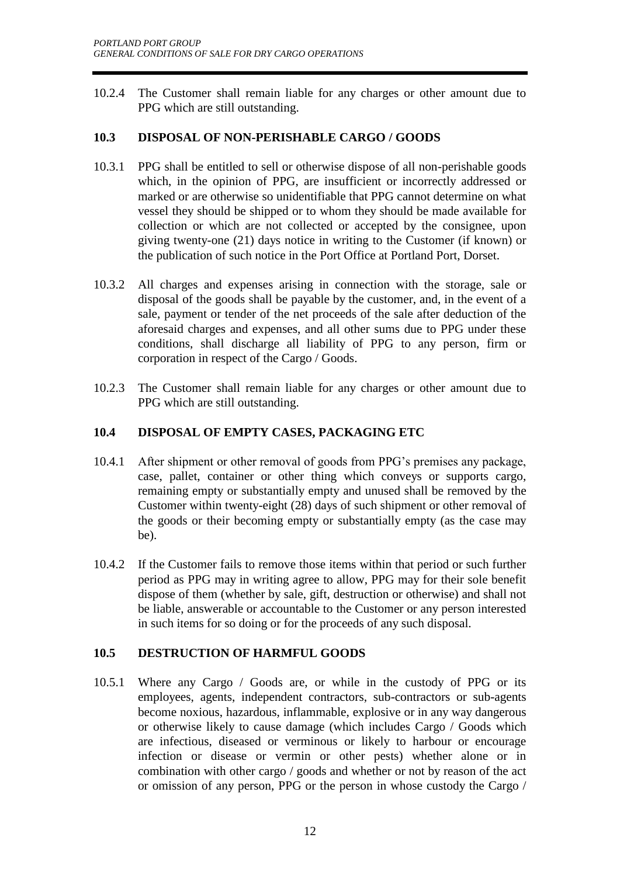10.2.4 The Customer shall remain liable for any charges or other amount due to PPG which are still outstanding.

# **10.3 DISPOSAL OF NON-PERISHABLE CARGO / GOODS**

- 10.3.1 PPG shall be entitled to sell or otherwise dispose of all non-perishable goods which, in the opinion of PPG, are insufficient or incorrectly addressed or marked or are otherwise so unidentifiable that PPG cannot determine on what vessel they should be shipped or to whom they should be made available for collection or which are not collected or accepted by the consignee, upon giving twenty-one (21) days notice in writing to the Customer (if known) or the publication of such notice in the Port Office at Portland Port, Dorset.
- 10.3.2 All charges and expenses arising in connection with the storage, sale or disposal of the goods shall be payable by the customer, and, in the event of a sale, payment or tender of the net proceeds of the sale after deduction of the aforesaid charges and expenses, and all other sums due to PPG under these conditions, shall discharge all liability of PPG to any person, firm or corporation in respect of the Cargo / Goods.
- 10.2.3 The Customer shall remain liable for any charges or other amount due to PPG which are still outstanding.

#### **10.4 DISPOSAL OF EMPTY CASES, PACKAGING ETC**

- 10.4.1 After shipment or other removal of goods from PPG's premises any package, case, pallet, container or other thing which conveys or supports cargo, remaining empty or substantially empty and unused shall be removed by the Customer within twenty-eight (28) days of such shipment or other removal of the goods or their becoming empty or substantially empty (as the case may be).
- 10.4.2 If the Customer fails to remove those items within that period or such further period as PPG may in writing agree to allow, PPG may for their sole benefit dispose of them (whether by sale, gift, destruction or otherwise) and shall not be liable, answerable or accountable to the Customer or any person interested in such items for so doing or for the proceeds of any such disposal.

# **10.5 DESTRUCTION OF HARMFUL GOODS**

10.5.1 Where any Cargo / Goods are, or while in the custody of PPG or its employees, agents, independent contractors, sub-contractors or sub-agents become noxious, hazardous, inflammable, explosive or in any way dangerous or otherwise likely to cause damage (which includes Cargo / Goods which are infectious, diseased or verminous or likely to harbour or encourage infection or disease or vermin or other pests) whether alone or in combination with other cargo / goods and whether or not by reason of the act or omission of any person, PPG or the person in whose custody the Cargo /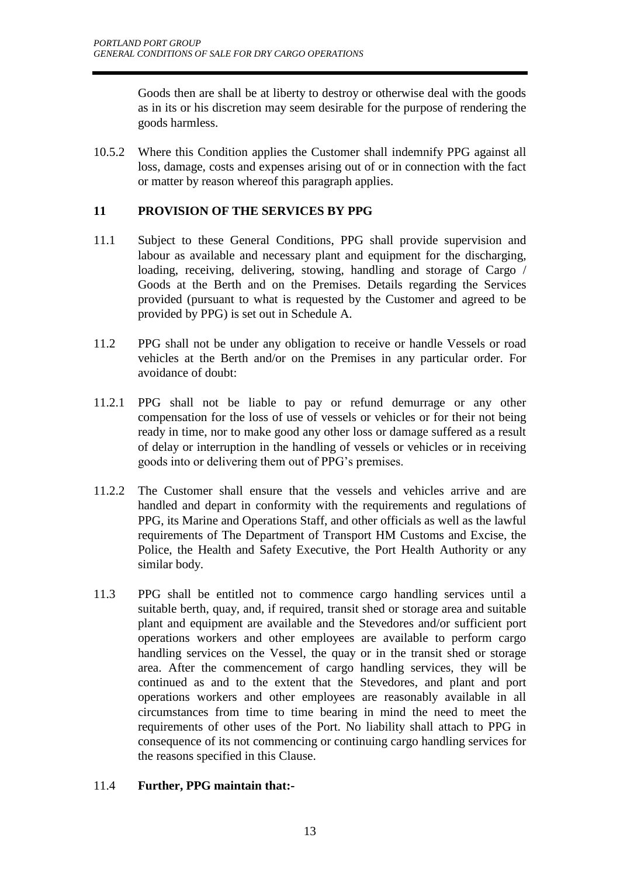Goods then are shall be at liberty to destroy or otherwise deal with the goods as in its or his discretion may seem desirable for the purpose of rendering the goods harmless.

10.5.2 Where this Condition applies the Customer shall indemnify PPG against all loss, damage, costs and expenses arising out of or in connection with the fact or matter by reason whereof this paragraph applies.

# **11 PROVISION OF THE SERVICES BY PPG**

- 11.1 Subject to these General Conditions, PPG shall provide supervision and labour as available and necessary plant and equipment for the discharging, loading, receiving, delivering, stowing, handling and storage of Cargo / Goods at the Berth and on the Premises. Details regarding the Services provided (pursuant to what is requested by the Customer and agreed to be provided by PPG) is set out in Schedule A.
- 11.2 PPG shall not be under any obligation to receive or handle Vessels or road vehicles at the Berth and/or on the Premises in any particular order. For avoidance of doubt:
- 11.2.1 PPG shall not be liable to pay or refund demurrage or any other compensation for the loss of use of vessels or vehicles or for their not being ready in time, nor to make good any other loss or damage suffered as a result of delay or interruption in the handling of vessels or vehicles or in receiving goods into or delivering them out of PPG's premises.
- 11.2.2 The Customer shall ensure that the vessels and vehicles arrive and are handled and depart in conformity with the requirements and regulations of PPG, its Marine and Operations Staff, and other officials as well as the lawful requirements of The Department of Transport HM Customs and Excise, the Police, the Health and Safety Executive, the Port Health Authority or any similar body.
- 11.3 PPG shall be entitled not to commence cargo handling services until a suitable berth, quay, and, if required, transit shed or storage area and suitable plant and equipment are available and the Stevedores and/or sufficient port operations workers and other employees are available to perform cargo handling services on the Vessel, the quay or in the transit shed or storage area. After the commencement of cargo handling services, they will be continued as and to the extent that the Stevedores, and plant and port operations workers and other employees are reasonably available in all circumstances from time to time bearing in mind the need to meet the requirements of other uses of the Port. No liability shall attach to PPG in consequence of its not commencing or continuing cargo handling services for the reasons specified in this Clause.

# 11.4 **Further, PPG maintain that:-**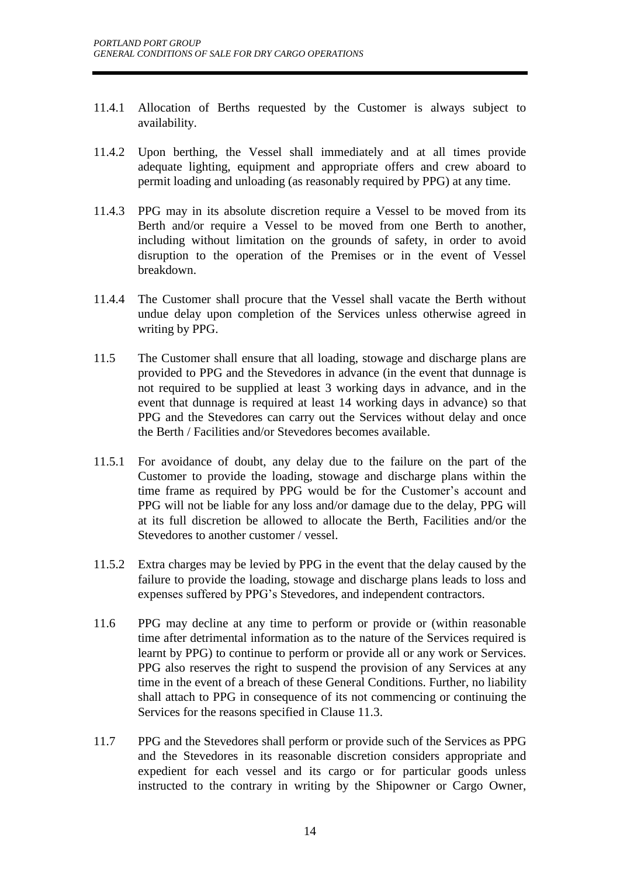- 11.4.1 Allocation of Berths requested by the Customer is always subject to availability.
- 11.4.2 Upon berthing, the Vessel shall immediately and at all times provide adequate lighting, equipment and appropriate offers and crew aboard to permit loading and unloading (as reasonably required by PPG) at any time.
- 11.4.3 PPG may in its absolute discretion require a Vessel to be moved from its Berth and/or require a Vessel to be moved from one Berth to another, including without limitation on the grounds of safety, in order to avoid disruption to the operation of the Premises or in the event of Vessel breakdown.
- 11.4.4 The Customer shall procure that the Vessel shall vacate the Berth without undue delay upon completion of the Services unless otherwise agreed in writing by PPG.
- 11.5 The Customer shall ensure that all loading, stowage and discharge plans are provided to PPG and the Stevedores in advance (in the event that dunnage is not required to be supplied at least 3 working days in advance, and in the event that dunnage is required at least 14 working days in advance) so that PPG and the Stevedores can carry out the Services without delay and once the Berth / Facilities and/or Stevedores becomes available.
- 11.5.1 For avoidance of doubt, any delay due to the failure on the part of the Customer to provide the loading, stowage and discharge plans within the time frame as required by PPG would be for the Customer's account and PPG will not be liable for any loss and/or damage due to the delay, PPG will at its full discretion be allowed to allocate the Berth, Facilities and/or the Stevedores to another customer / vessel.
- 11.5.2 Extra charges may be levied by PPG in the event that the delay caused by the failure to provide the loading, stowage and discharge plans leads to loss and expenses suffered by PPG's Stevedores, and independent contractors.
- 11.6 PPG may decline at any time to perform or provide or (within reasonable time after detrimental information as to the nature of the Services required is learnt by PPG) to continue to perform or provide all or any work or Services. PPG also reserves the right to suspend the provision of any Services at any time in the event of a breach of these General Conditions. Further, no liability shall attach to PPG in consequence of its not commencing or continuing the Services for the reasons specified in Clause 11.3.
- 11.7 PPG and the Stevedores shall perform or provide such of the Services as PPG and the Stevedores in its reasonable discretion considers appropriate and expedient for each vessel and its cargo or for particular goods unless instructed to the contrary in writing by the Shipowner or Cargo Owner,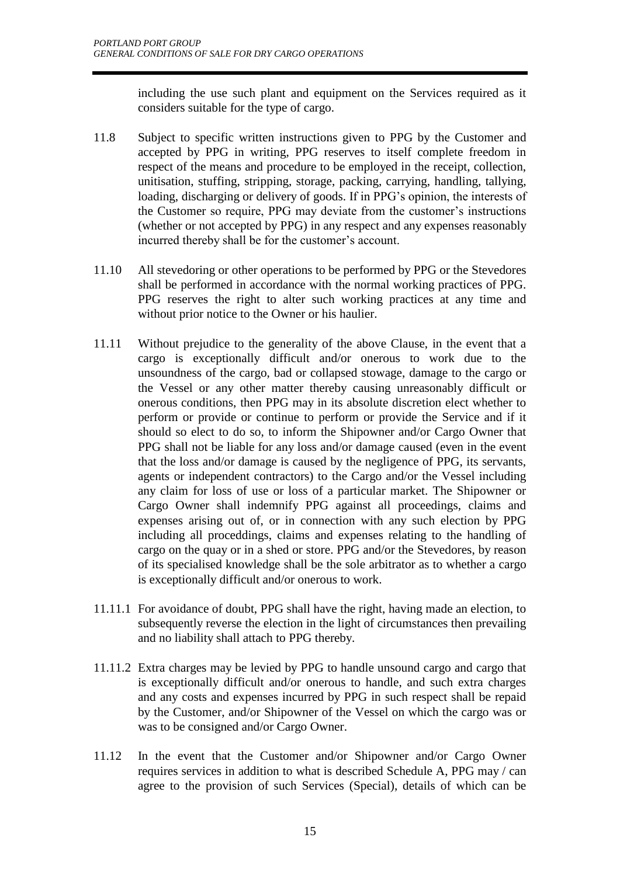including the use such plant and equipment on the Services required as it considers suitable for the type of cargo.

- 11.8 Subject to specific written instructions given to PPG by the Customer and accepted by PPG in writing, PPG reserves to itself complete freedom in respect of the means and procedure to be employed in the receipt, collection, unitisation, stuffing, stripping, storage, packing, carrying, handling, tallying, loading, discharging or delivery of goods. If in PPG's opinion, the interests of the Customer so require, PPG may deviate from the customer's instructions (whether or not accepted by PPG) in any respect and any expenses reasonably incurred thereby shall be for the customer's account.
- 11.10 All stevedoring or other operations to be performed by PPG or the Stevedores shall be performed in accordance with the normal working practices of PPG. PPG reserves the right to alter such working practices at any time and without prior notice to the Owner or his haulier.
- 11.11 Without prejudice to the generality of the above Clause, in the event that a cargo is exceptionally difficult and/or onerous to work due to the unsoundness of the cargo, bad or collapsed stowage, damage to the cargo or the Vessel or any other matter thereby causing unreasonably difficult or onerous conditions, then PPG may in its absolute discretion elect whether to perform or provide or continue to perform or provide the Service and if it should so elect to do so, to inform the Shipowner and/or Cargo Owner that PPG shall not be liable for any loss and/or damage caused (even in the event that the loss and/or damage is caused by the negligence of PPG, its servants, agents or independent contractors) to the Cargo and/or the Vessel including any claim for loss of use or loss of a particular market. The Shipowner or Cargo Owner shall indemnify PPG against all proceedings, claims and expenses arising out of, or in connection with any such election by PPG including all proceddings, claims and expenses relating to the handling of cargo on the quay or in a shed or store. PPG and/or the Stevedores, by reason of its specialised knowledge shall be the sole arbitrator as to whether a cargo is exceptionally difficult and/or onerous to work.
- 11.11.1 For avoidance of doubt, PPG shall have the right, having made an election, to subsequently reverse the election in the light of circumstances then prevailing and no liability shall attach to PPG thereby.
- 11.11.2 Extra charges may be levied by PPG to handle unsound cargo and cargo that is exceptionally difficult and/or onerous to handle, and such extra charges and any costs and expenses incurred by PPG in such respect shall be repaid by the Customer, and/or Shipowner of the Vessel on which the cargo was or was to be consigned and/or Cargo Owner.
- 11.12 In the event that the Customer and/or Shipowner and/or Cargo Owner requires services in addition to what is described Schedule A, PPG may / can agree to the provision of such Services (Special), details of which can be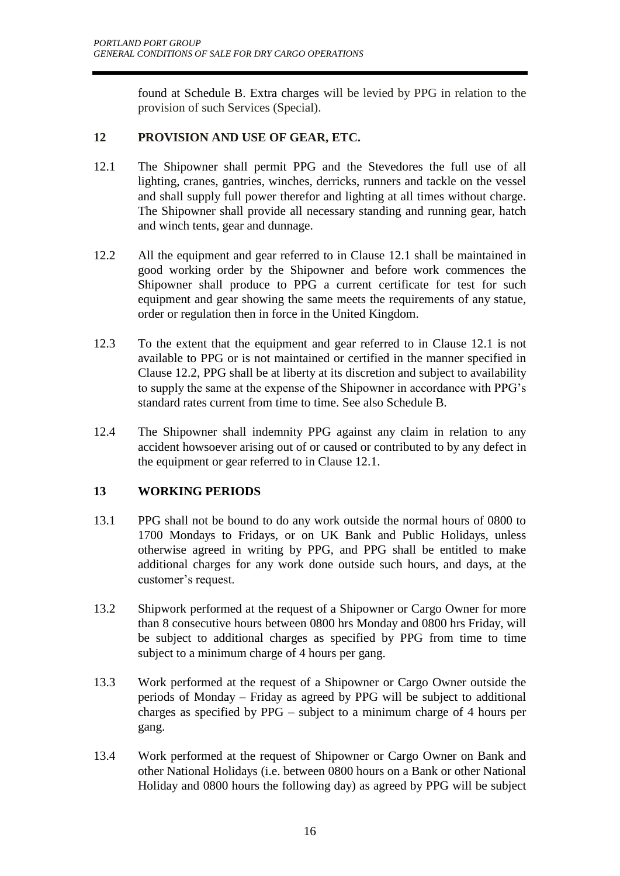found at Schedule B. Extra charges will be levied by PPG in relation to the provision of such Services (Special).

# **12 PROVISION AND USE OF GEAR, ETC.**

- 12.1 The Shipowner shall permit PPG and the Stevedores the full use of all lighting, cranes, gantries, winches, derricks, runners and tackle on the vessel and shall supply full power therefor and lighting at all times without charge. The Shipowner shall provide all necessary standing and running gear, hatch and winch tents, gear and dunnage.
- 12.2 All the equipment and gear referred to in Clause 12.1 shall be maintained in good working order by the Shipowner and before work commences the Shipowner shall produce to PPG a current certificate for test for such equipment and gear showing the same meets the requirements of any statue, order or regulation then in force in the United Kingdom.
- 12.3 To the extent that the equipment and gear referred to in Clause 12.1 is not available to PPG or is not maintained or certified in the manner specified in Clause 12.2, PPG shall be at liberty at its discretion and subject to availability to supply the same at the expense of the Shipowner in accordance with PPG's standard rates current from time to time. See also Schedule B.
- 12.4 The Shipowner shall indemnity PPG against any claim in relation to any accident howsoever arising out of or caused or contributed to by any defect in the equipment or gear referred to in Clause 12.1.

# **13 WORKING PERIODS**

- 13.1 PPG shall not be bound to do any work outside the normal hours of 0800 to 1700 Mondays to Fridays, or on UK Bank and Public Holidays, unless otherwise agreed in writing by PPG, and PPG shall be entitled to make additional charges for any work done outside such hours, and days, at the customer's request.
- 13.2 Shipwork performed at the request of a Shipowner or Cargo Owner for more than 8 consecutive hours between 0800 hrs Monday and 0800 hrs Friday, will be subject to additional charges as specified by PPG from time to time subject to a minimum charge of 4 hours per gang.
- 13.3 Work performed at the request of a Shipowner or Cargo Owner outside the periods of Monday – Friday as agreed by PPG will be subject to additional charges as specified by PPG – subject to a minimum charge of 4 hours per gang.
- 13.4 Work performed at the request of Shipowner or Cargo Owner on Bank and other National Holidays (i.e. between 0800 hours on a Bank or other National Holiday and 0800 hours the following day) as agreed by PPG will be subject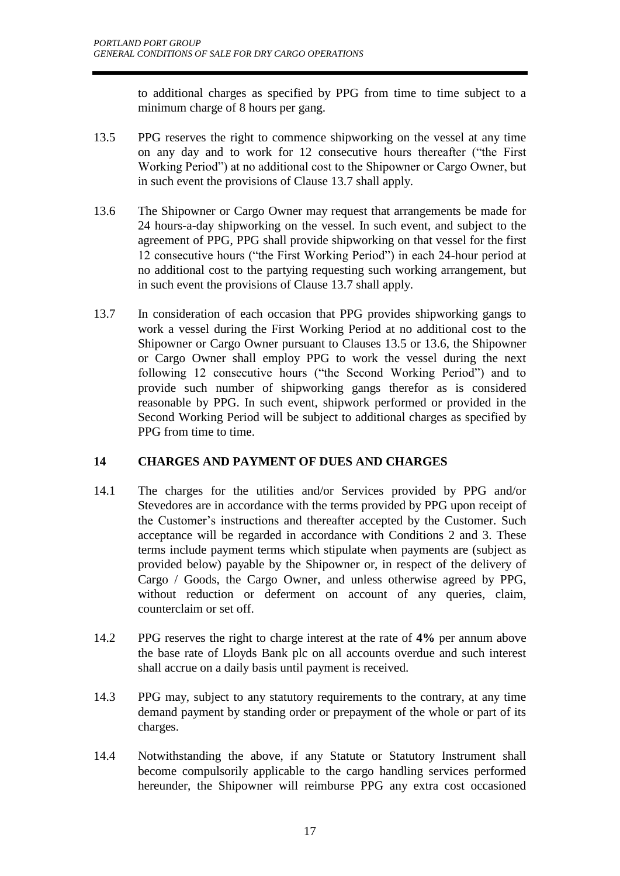to additional charges as specified by PPG from time to time subject to a minimum charge of 8 hours per gang.

- 13.5 PPG reserves the right to commence shipworking on the vessel at any time on any day and to work for 12 consecutive hours thereafter ("the First Working Period") at no additional cost to the Shipowner or Cargo Owner, but in such event the provisions of Clause 13.7 shall apply.
- 13.6 The Shipowner or Cargo Owner may request that arrangements be made for 24 hours-a-day shipworking on the vessel. In such event, and subject to the agreement of PPG, PPG shall provide shipworking on that vessel for the first 12 consecutive hours ("the First Working Period") in each 24-hour period at no additional cost to the partying requesting such working arrangement, but in such event the provisions of Clause 13.7 shall apply.
- 13.7 In consideration of each occasion that PPG provides shipworking gangs to work a vessel during the First Working Period at no additional cost to the Shipowner or Cargo Owner pursuant to Clauses 13.5 or 13.6, the Shipowner or Cargo Owner shall employ PPG to work the vessel during the next following 12 consecutive hours ("the Second Working Period") and to provide such number of shipworking gangs therefor as is considered reasonable by PPG. In such event, shipwork performed or provided in the Second Working Period will be subject to additional charges as specified by PPG from time to time.

# **14 CHARGES AND PAYMENT OF DUES AND CHARGES**

- 14.1 The charges for the utilities and/or Services provided by PPG and/or Stevedores are in accordance with the terms provided by PPG upon receipt of the Customer's instructions and thereafter accepted by the Customer. Such acceptance will be regarded in accordance with Conditions 2 and 3. These terms include payment terms which stipulate when payments are (subject as provided below) payable by the Shipowner or, in respect of the delivery of Cargo / Goods, the Cargo Owner, and unless otherwise agreed by PPG, without reduction or deferment on account of any queries, claim, counterclaim or set off.
- 14.2 PPG reserves the right to charge interest at the rate of **4%** per annum above the base rate of Lloyds Bank plc on all accounts overdue and such interest shall accrue on a daily basis until payment is received.
- 14.3 PPG may, subject to any statutory requirements to the contrary, at any time demand payment by standing order or prepayment of the whole or part of its charges.
- 14.4 Notwithstanding the above, if any Statute or Statutory Instrument shall become compulsorily applicable to the cargo handling services performed hereunder, the Shipowner will reimburse PPG any extra cost occasioned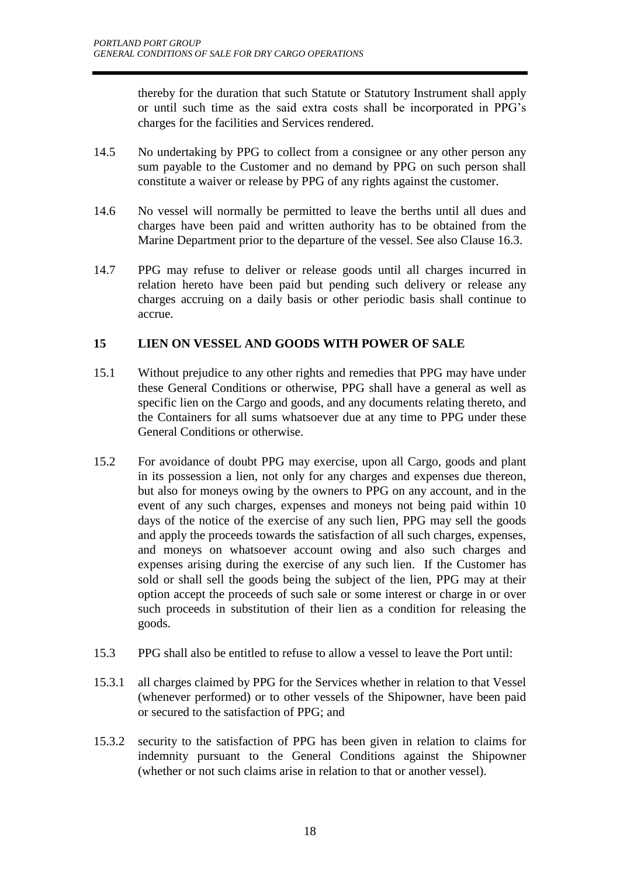thereby for the duration that such Statute or Statutory Instrument shall apply or until such time as the said extra costs shall be incorporated in PPG's charges for the facilities and Services rendered.

- 14.5 No undertaking by PPG to collect from a consignee or any other person any sum payable to the Customer and no demand by PPG on such person shall constitute a waiver or release by PPG of any rights against the customer.
- 14.6 No vessel will normally be permitted to leave the berths until all dues and charges have been paid and written authority has to be obtained from the Marine Department prior to the departure of the vessel. See also Clause 16.3.
- 14.7 PPG may refuse to deliver or release goods until all charges incurred in relation hereto have been paid but pending such delivery or release any charges accruing on a daily basis or other periodic basis shall continue to accrue.

# **15 LIEN ON VESSEL AND GOODS WITH POWER OF SALE**

- 15.1 Without prejudice to any other rights and remedies that PPG may have under these General Conditions or otherwise, PPG shall have a general as well as specific lien on the Cargo and goods, and any documents relating thereto, and the Containers for all sums whatsoever due at any time to PPG under these General Conditions or otherwise.
- 15.2 For avoidance of doubt PPG may exercise, upon all Cargo, goods and plant in its possession a lien, not only for any charges and expenses due thereon, but also for moneys owing by the owners to PPG on any account, and in the event of any such charges, expenses and moneys not being paid within 10 days of the notice of the exercise of any such lien, PPG may sell the goods and apply the proceeds towards the satisfaction of all such charges, expenses, and moneys on whatsoever account owing and also such charges and expenses arising during the exercise of any such lien. If the Customer has sold or shall sell the goods being the subject of the lien, PPG may at their option accept the proceeds of such sale or some interest or charge in or over such proceeds in substitution of their lien as a condition for releasing the goods.
- 15.3 PPG shall also be entitled to refuse to allow a vessel to leave the Port until:
- 15.3.1 all charges claimed by PPG for the Services whether in relation to that Vessel (whenever performed) or to other vessels of the Shipowner, have been paid or secured to the satisfaction of PPG; and
- 15.3.2 security to the satisfaction of PPG has been given in relation to claims for indemnity pursuant to the General Conditions against the Shipowner (whether or not such claims arise in relation to that or another vessel).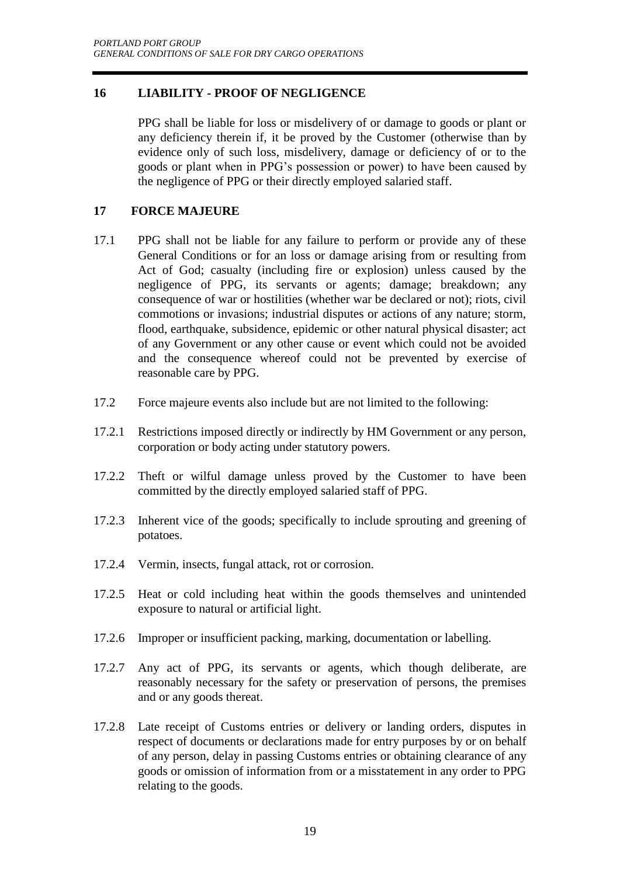# **16 LIABILITY - PROOF OF NEGLIGENCE**

PPG shall be liable for loss or misdelivery of or damage to goods or plant or any deficiency therein if, it be proved by the Customer (otherwise than by evidence only of such loss, misdelivery, damage or deficiency of or to the goods or plant when in PPG's possession or power) to have been caused by the negligence of PPG or their directly employed salaried staff.

# **17 FORCE MAJEURE**

- 17.1 PPG shall not be liable for any failure to perform or provide any of these General Conditions or for an loss or damage arising from or resulting from Act of God; casualty (including fire or explosion) unless caused by the negligence of PPG, its servants or agents; damage; breakdown; any consequence of war or hostilities (whether war be declared or not); riots, civil commotions or invasions; industrial disputes or actions of any nature; storm, flood, earthquake, subsidence, epidemic or other natural physical disaster; act of any Government or any other cause or event which could not be avoided and the consequence whereof could not be prevented by exercise of reasonable care by PPG.
- 17.2 Force majeure events also include but are not limited to the following:
- 17.2.1 Restrictions imposed directly or indirectly by HM Government or any person, corporation or body acting under statutory powers.
- 17.2.2 Theft or wilful damage unless proved by the Customer to have been committed by the directly employed salaried staff of PPG.
- 17.2.3 Inherent vice of the goods; specifically to include sprouting and greening of potatoes.
- 17.2.4 Vermin, insects, fungal attack, rot or corrosion.
- 17.2.5 Heat or cold including heat within the goods themselves and unintended exposure to natural or artificial light.
- 17.2.6 Improper or insufficient packing, marking, documentation or labelling.
- 17.2.7 Any act of PPG, its servants or agents, which though deliberate, are reasonably necessary for the safety or preservation of persons, the premises and or any goods thereat.
- 17.2.8 Late receipt of Customs entries or delivery or landing orders, disputes in respect of documents or declarations made for entry purposes by or on behalf of any person, delay in passing Customs entries or obtaining clearance of any goods or omission of information from or a misstatement in any order to PPG relating to the goods.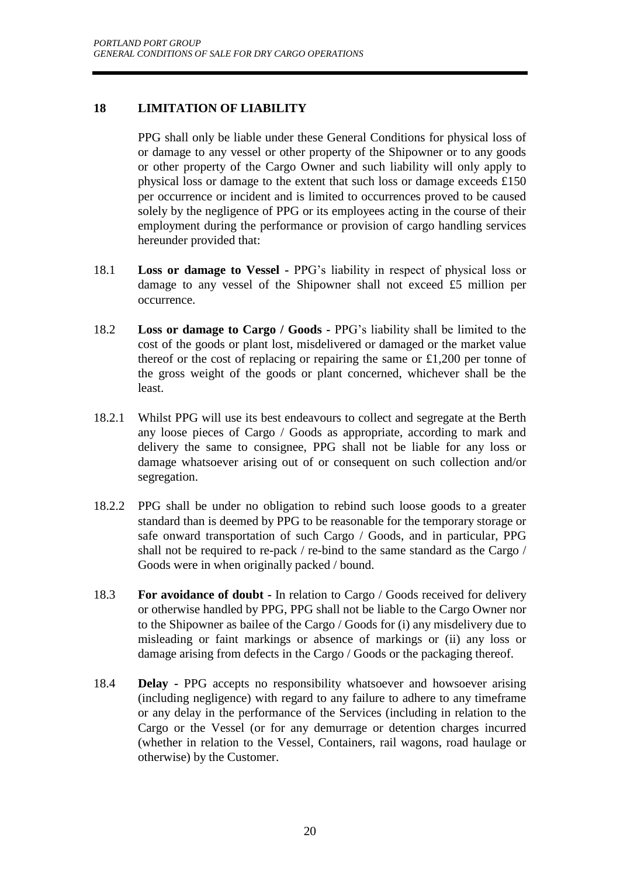# **18 LIMITATION OF LIABILITY**

PPG shall only be liable under these General Conditions for physical loss of or damage to any vessel or other property of the Shipowner or to any goods or other property of the Cargo Owner and such liability will only apply to physical loss or damage to the extent that such loss or damage exceeds £150 per occurrence or incident and is limited to occurrences proved to be caused solely by the negligence of PPG or its employees acting in the course of their employment during the performance or provision of cargo handling services hereunder provided that:

- 18.1 **Loss or damage to Vessel -** PPG's liability in respect of physical loss or damage to any vessel of the Shipowner shall not exceed £5 million per occurrence.
- 18.2 **Loss or damage to Cargo / Goods -** PPG's liability shall be limited to the cost of the goods or plant lost, misdelivered or damaged or the market value thereof or the cost of replacing or repairing the same or £1,200 per tonne of the gross weight of the goods or plant concerned, whichever shall be the least.
- 18.2.1 Whilst PPG will use its best endeavours to collect and segregate at the Berth any loose pieces of Cargo / Goods as appropriate, according to mark and delivery the same to consignee, PPG shall not be liable for any loss or damage whatsoever arising out of or consequent on such collection and/or segregation.
- 18.2.2 PPG shall be under no obligation to rebind such loose goods to a greater standard than is deemed by PPG to be reasonable for the temporary storage or safe onward transportation of such Cargo / Goods, and in particular, PPG shall not be required to re-pack / re-bind to the same standard as the Cargo / Goods were in when originally packed / bound.
- 18.3 **For avoidance of doubt -** In relation to Cargo / Goods received for delivery or otherwise handled by PPG, PPG shall not be liable to the Cargo Owner nor to the Shipowner as bailee of the Cargo / Goods for (i) any misdelivery due to misleading or faint markings or absence of markings or (ii) any loss or damage arising from defects in the Cargo / Goods or the packaging thereof.
- 18.4 **Delay -** PPG accepts no responsibility whatsoever and howsoever arising (including negligence) with regard to any failure to adhere to any timeframe or any delay in the performance of the Services (including in relation to the Cargo or the Vessel (or for any demurrage or detention charges incurred (whether in relation to the Vessel, Containers, rail wagons, road haulage or otherwise) by the Customer.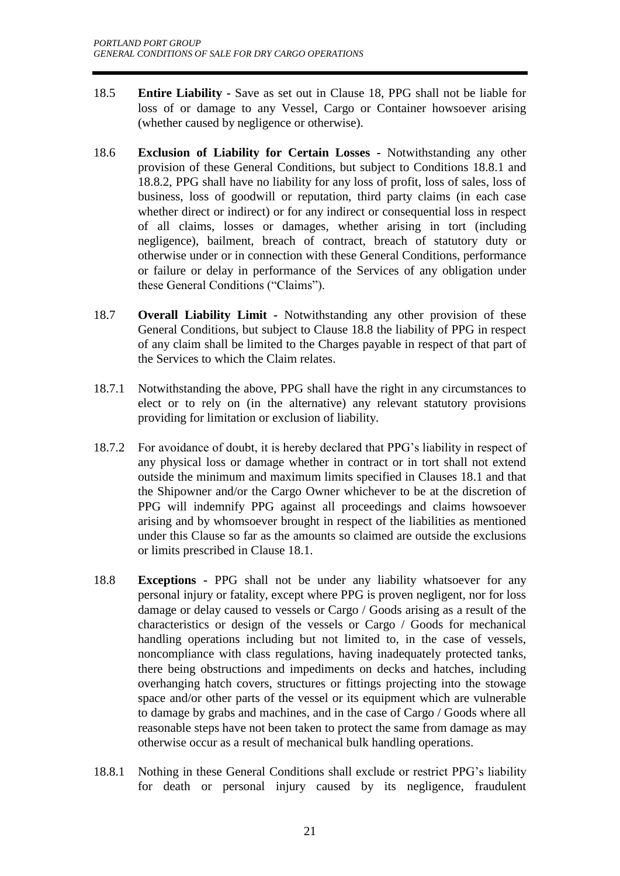- 18.5 **Entire Liability -** Save as set out in Clause 18, PPG shall not be liable for loss of or damage to any Vessel, Cargo or Container howsoever arising (whether caused by negligence or otherwise).
- 18.6 **Exclusion of Liability for Certain Losses -** Notwithstanding any other provision of these General Conditions, but subject to Conditions 18.8.1 and 18.8.2, PPG shall have no liability for any loss of profit, loss of sales, loss of business, loss of goodwill or reputation, third party claims (in each case whether direct or indirect) or for any indirect or consequential loss in respect of all claims, losses or damages, whether arising in tort (including negligence), bailment, breach of contract, breach of statutory duty or otherwise under or in connection with these General Conditions, performance or failure or delay in performance of the Services of any obligation under these General Conditions ("Claims").
- 18.7 **Overall Liability Limit -** Notwithstanding any other provision of these General Conditions, but subject to Clause 18.8 the liability of PPG in respect of any claim shall be limited to the Charges payable in respect of that part of the Services to which the Claim relates.
- 18.7.1 Notwithstanding the above, PPG shall have the right in any circumstances to elect or to rely on (in the alternative) any relevant statutory provisions providing for limitation or exclusion of liability.
- 18.7.2 For avoidance of doubt, it is hereby declared that PPG's liability in respect of any physical loss or damage whether in contract or in tort shall not extend outside the minimum and maximum limits specified in Clauses 18.1 and that the Shipowner and/or the Cargo Owner whichever to be at the discretion of PPG will indemnify PPG against all proceedings and claims howsoever arising and by whomsoever brought in respect of the liabilities as mentioned under this Clause so far as the amounts so claimed are outside the exclusions or limits prescribed in Clause 18.1.
- 18.8 **Exceptions -** PPG shall not be under any liability whatsoever for any personal injury or fatality, except where PPG is proven negligent, nor for loss damage or delay caused to vessels or Cargo / Goods arising as a result of the characteristics or design of the vessels or Cargo / Goods for mechanical handling operations including but not limited to, in the case of vessels, noncompliance with class regulations, having inadequately protected tanks, there being obstructions and impediments on decks and hatches, including overhanging hatch covers, structures or fittings projecting into the stowage space and/or other parts of the vessel or its equipment which are vulnerable to damage by grabs and machines, and in the case of Cargo / Goods where all reasonable steps have not been taken to protect the same from damage as may otherwise occur as a result of mechanical bulk handling operations.
- 18.8.1 Nothing in these General Conditions shall exclude or restrict PPG's liability for death or personal injury caused by its negligence, fraudulent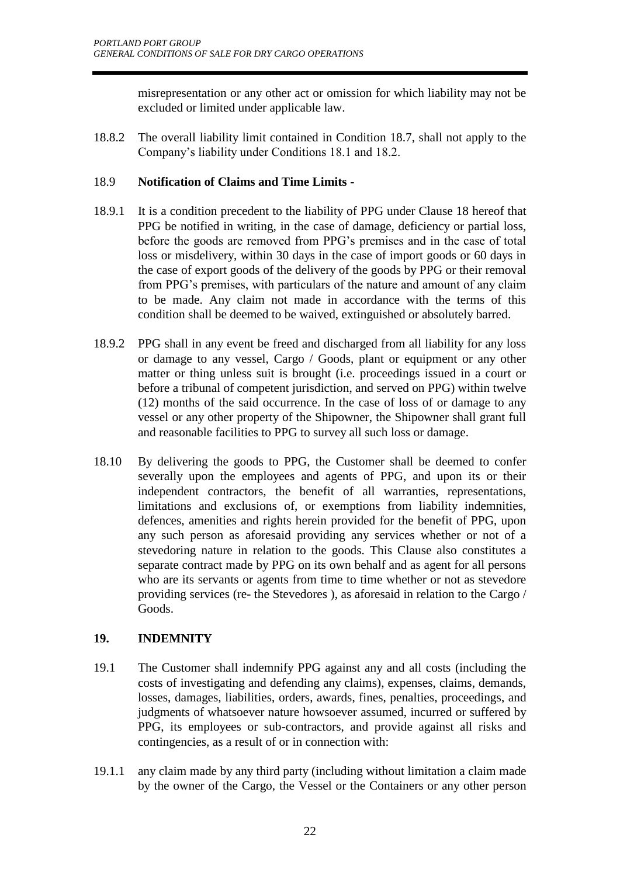misrepresentation or any other act or omission for which liability may not be excluded or limited under applicable law.

18.8.2 The overall liability limit contained in Condition 18.7, shall not apply to the Company's liability under Conditions 18.1 and 18.2.

# 18.9 **Notification of Claims and Time Limits -**

- 18.9.1 It is a condition precedent to the liability of PPG under Clause 18 hereof that PPG be notified in writing, in the case of damage, deficiency or partial loss, before the goods are removed from PPG's premises and in the case of total loss or misdelivery, within 30 days in the case of import goods or 60 days in the case of export goods of the delivery of the goods by PPG or their removal from PPG's premises, with particulars of the nature and amount of any claim to be made. Any claim not made in accordance with the terms of this condition shall be deemed to be waived, extinguished or absolutely barred.
- 18.9.2 PPG shall in any event be freed and discharged from all liability for any loss or damage to any vessel, Cargo / Goods, plant or equipment or any other matter or thing unless suit is brought (i.e. proceedings issued in a court or before a tribunal of competent jurisdiction, and served on PPG) within twelve (12) months of the said occurrence. In the case of loss of or damage to any vessel or any other property of the Shipowner, the Shipowner shall grant full and reasonable facilities to PPG to survey all such loss or damage.
- 18.10 By delivering the goods to PPG, the Customer shall be deemed to confer severally upon the employees and agents of PPG, and upon its or their independent contractors, the benefit of all warranties, representations, limitations and exclusions of, or exemptions from liability indemnities, defences, amenities and rights herein provided for the benefit of PPG, upon any such person as aforesaid providing any services whether or not of a stevedoring nature in relation to the goods. This Clause also constitutes a separate contract made by PPG on its own behalf and as agent for all persons who are its servants or agents from time to time whether or not as stevedore providing services (re- the Stevedores ), as aforesaid in relation to the Cargo / Goods.

# **19. INDEMNITY**

- 19.1 The Customer shall indemnify PPG against any and all costs (including the costs of investigating and defending any claims), expenses, claims, demands, losses, damages, liabilities, orders, awards, fines, penalties, proceedings, and judgments of whatsoever nature howsoever assumed, incurred or suffered by PPG, its employees or sub-contractors, and provide against all risks and contingencies, as a result of or in connection with:
- 19.1.1 any claim made by any third party (including without limitation a claim made by the owner of the Cargo, the Vessel or the Containers or any other person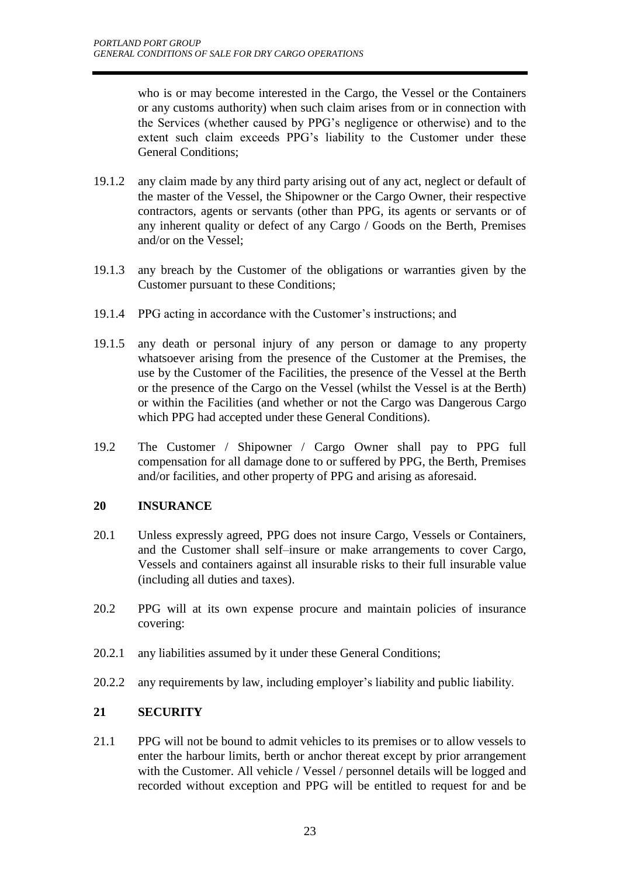who is or may become interested in the Cargo, the Vessel or the Containers or any customs authority) when such claim arises from or in connection with the Services (whether caused by PPG's negligence or otherwise) and to the extent such claim exceeds PPG's liability to the Customer under these General Conditions;

- 19.1.2 any claim made by any third party arising out of any act, neglect or default of the master of the Vessel, the Shipowner or the Cargo Owner, their respective contractors, agents or servants (other than PPG, its agents or servants or of any inherent quality or defect of any Cargo / Goods on the Berth, Premises and/or on the Vessel;
- 19.1.3 any breach by the Customer of the obligations or warranties given by the Customer pursuant to these Conditions;
- 19.1.4 PPG acting in accordance with the Customer's instructions; and
- 19.1.5 any death or personal injury of any person or damage to any property whatsoever arising from the presence of the Customer at the Premises, the use by the Customer of the Facilities, the presence of the Vessel at the Berth or the presence of the Cargo on the Vessel (whilst the Vessel is at the Berth) or within the Facilities (and whether or not the Cargo was Dangerous Cargo which PPG had accepted under these General Conditions).
- 19.2 The Customer / Shipowner / Cargo Owner shall pay to PPG full compensation for all damage done to or suffered by PPG, the Berth, Premises and/or facilities, and other property of PPG and arising as aforesaid.

# **20 INSURANCE**

- 20.1 Unless expressly agreed, PPG does not insure Cargo, Vessels or Containers, and the Customer shall self–insure or make arrangements to cover Cargo, Vessels and containers against all insurable risks to their full insurable value (including all duties and taxes).
- 20.2 PPG will at its own expense procure and maintain policies of insurance covering:
- 20.2.1 any liabilities assumed by it under these General Conditions;
- 20.2.2 any requirements by law, including employer's liability and public liability.

# **21 SECURITY**

21.1 PPG will not be bound to admit vehicles to its premises or to allow vessels to enter the harbour limits, berth or anchor thereat except by prior arrangement with the Customer. All vehicle / Vessel / personnel details will be logged and recorded without exception and PPG will be entitled to request for and be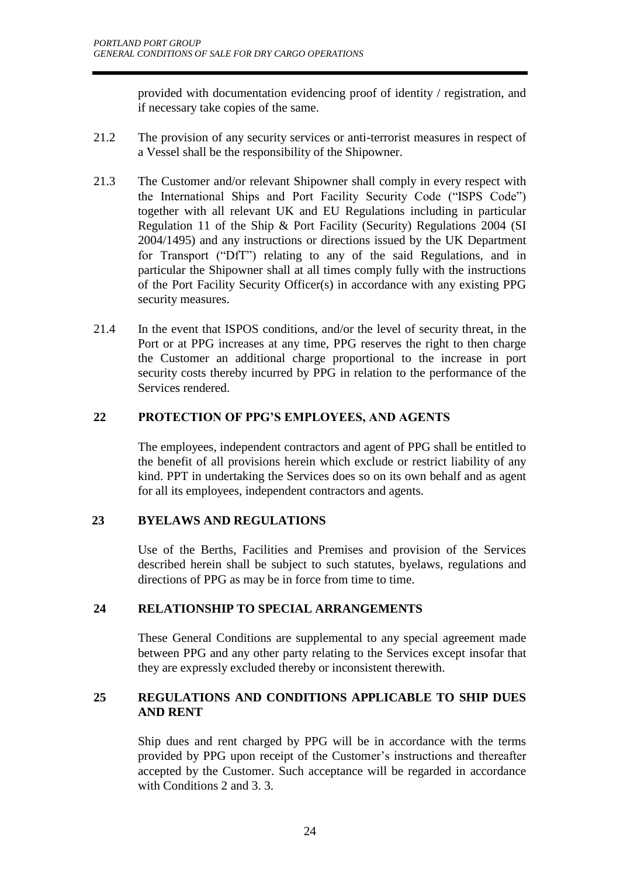provided with documentation evidencing proof of identity / registration, and if necessary take copies of the same.

- 21.2 The provision of any security services or anti-terrorist measures in respect of a Vessel shall be the responsibility of the Shipowner.
- 21.3 The Customer and/or relevant Shipowner shall comply in every respect with the International Ships and Port Facility Security Code ("ISPS Code") together with all relevant UK and EU Regulations including in particular Regulation 11 of the Ship & Port Facility (Security) Regulations 2004 (SI 2004/1495) and any instructions or directions issued by the UK Department for Transport ("DfT") relating to any of the said Regulations, and in particular the Shipowner shall at all times comply fully with the instructions of the Port Facility Security Officer(s) in accordance with any existing PPG security measures.
- 21.4 In the event that ISPOS conditions, and/or the level of security threat, in the Port or at PPG increases at any time, PPG reserves the right to then charge the Customer an additional charge proportional to the increase in port security costs thereby incurred by PPG in relation to the performance of the Services rendered.

# **22 PROTECTION OF PPG'S EMPLOYEES, AND AGENTS**

The employees, independent contractors and agent of PPG shall be entitled to the benefit of all provisions herein which exclude or restrict liability of any kind. PPT in undertaking the Services does so on its own behalf and as agent for all its employees, independent contractors and agents.

# **23 BYELAWS AND REGULATIONS**

Use of the Berths, Facilities and Premises and provision of the Services described herein shall be subject to such statutes, byelaws, regulations and directions of PPG as may be in force from time to time.

# **24 RELATIONSHIP TO SPECIAL ARRANGEMENTS**

These General Conditions are supplemental to any special agreement made between PPG and any other party relating to the Services except insofar that they are expressly excluded thereby or inconsistent therewith.

# **25 REGULATIONS AND CONDITIONS APPLICABLE TO SHIP DUES AND RENT**

Ship dues and rent charged by PPG will be in accordance with the terms provided by PPG upon receipt of the Customer's instructions and thereafter accepted by the Customer. Such acceptance will be regarded in accordance with Conditions 2 and 3. 3.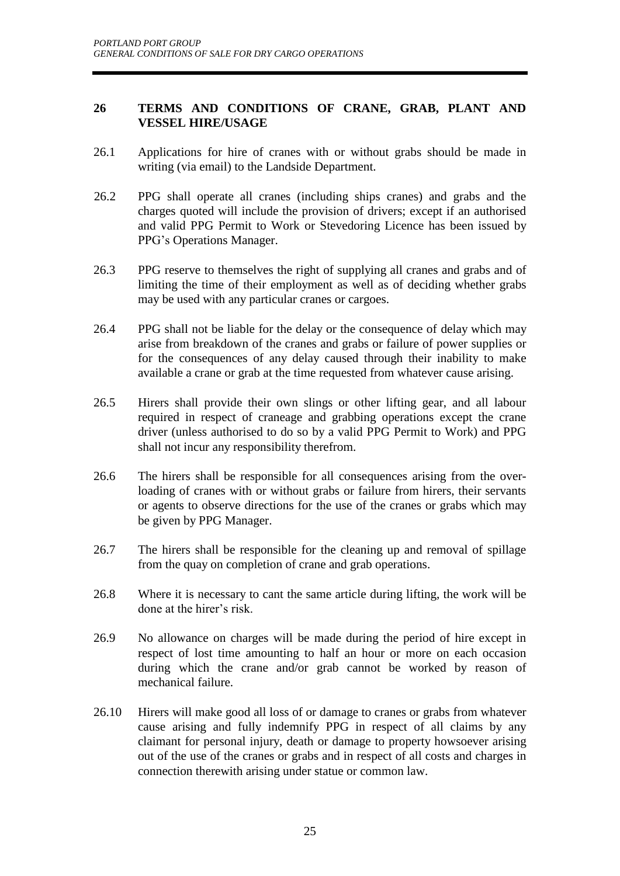#### **26 TERMS AND CONDITIONS OF CRANE, GRAB, PLANT AND VESSEL HIRE/USAGE**

- 26.1 Applications for hire of cranes with or without grabs should be made in writing (via email) to the Landside Department.
- 26.2 PPG shall operate all cranes (including ships cranes) and grabs and the charges quoted will include the provision of drivers; except if an authorised and valid PPG Permit to Work or Stevedoring Licence has been issued by PPG's Operations Manager.
- 26.3 PPG reserve to themselves the right of supplying all cranes and grabs and of limiting the time of their employment as well as of deciding whether grabs may be used with any particular cranes or cargoes.
- 26.4 PPG shall not be liable for the delay or the consequence of delay which may arise from breakdown of the cranes and grabs or failure of power supplies or for the consequences of any delay caused through their inability to make available a crane or grab at the time requested from whatever cause arising.
- 26.5 Hirers shall provide their own slings or other lifting gear, and all labour required in respect of craneage and grabbing operations except the crane driver (unless authorised to do so by a valid PPG Permit to Work) and PPG shall not incur any responsibility therefrom.
- 26.6 The hirers shall be responsible for all consequences arising from the overloading of cranes with or without grabs or failure from hirers, their servants or agents to observe directions for the use of the cranes or grabs which may be given by PPG Manager.
- 26.7 The hirers shall be responsible for the cleaning up and removal of spillage from the quay on completion of crane and grab operations.
- 26.8 Where it is necessary to cant the same article during lifting, the work will be done at the hirer's risk.
- 26.9 No allowance on charges will be made during the period of hire except in respect of lost time amounting to half an hour or more on each occasion during which the crane and/or grab cannot be worked by reason of mechanical failure.
- 26.10 Hirers will make good all loss of or damage to cranes or grabs from whatever cause arising and fully indemnify PPG in respect of all claims by any claimant for personal injury, death or damage to property howsoever arising out of the use of the cranes or grabs and in respect of all costs and charges in connection therewith arising under statue or common law.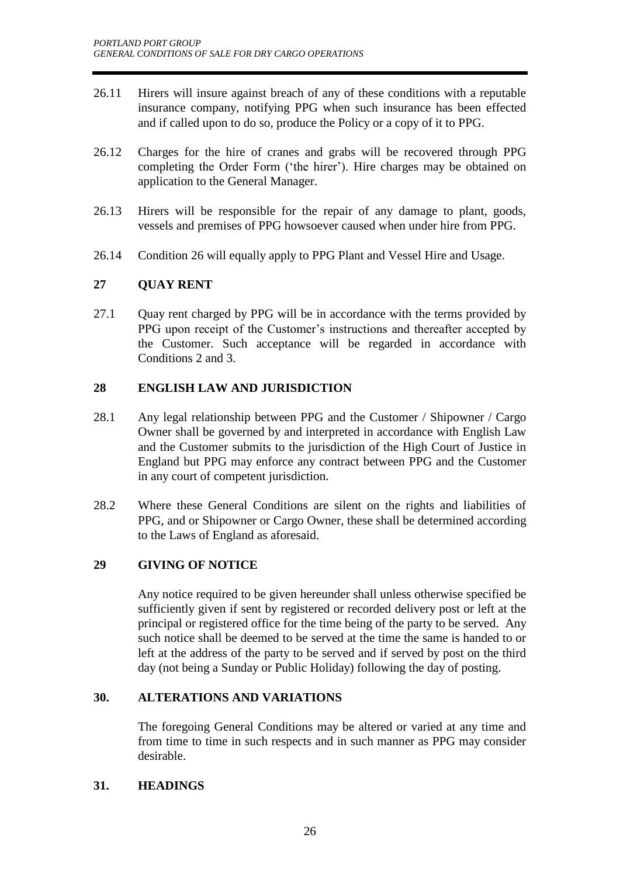- 26.11 Hirers will insure against breach of any of these conditions with a reputable insurance company, notifying PPG when such insurance has been effected and if called upon to do so, produce the Policy or a copy of it to PPG.
- 26.12 Charges for the hire of cranes and grabs will be recovered through PPG completing the Order Form ('the hirer'). Hire charges may be obtained on application to the General Manager.
- 26.13 Hirers will be responsible for the repair of any damage to plant, goods, vessels and premises of PPG howsoever caused when under hire from PPG.
- 26.14 Condition 26 will equally apply to PPG Plant and Vessel Hire and Usage.

# **27 QUAY RENT**

27.1 Quay rent charged by PPG will be in accordance with the terms provided by PPG upon receipt of the Customer's instructions and thereafter accepted by the Customer. Such acceptance will be regarded in accordance with Conditions 2 and 3.

# **28 ENGLISH LAW AND JURISDICTION**

- 28.1 Any legal relationship between PPG and the Customer / Shipowner / Cargo Owner shall be governed by and interpreted in accordance with English Law and the Customer submits to the jurisdiction of the High Court of Justice in England but PPG may enforce any contract between PPG and the Customer in any court of competent jurisdiction.
- 28.2 Where these General Conditions are silent on the rights and liabilities of PPG, and or Shipowner or Cargo Owner, these shall be determined according to the Laws of England as aforesaid.

# **29 GIVING OF NOTICE**

Any notice required to be given hereunder shall unless otherwise specified be sufficiently given if sent by registered or recorded delivery post or left at the principal or registered office for the time being of the party to be served. Any such notice shall be deemed to be served at the time the same is handed to or left at the address of the party to be served and if served by post on the third day (not being a Sunday or Public Holiday) following the day of posting.

# **30. ALTERATIONS AND VARIATIONS**

The foregoing General Conditions may be altered or varied at any time and from time to time in such respects and in such manner as PPG may consider desirable.

#### **31. HEADINGS**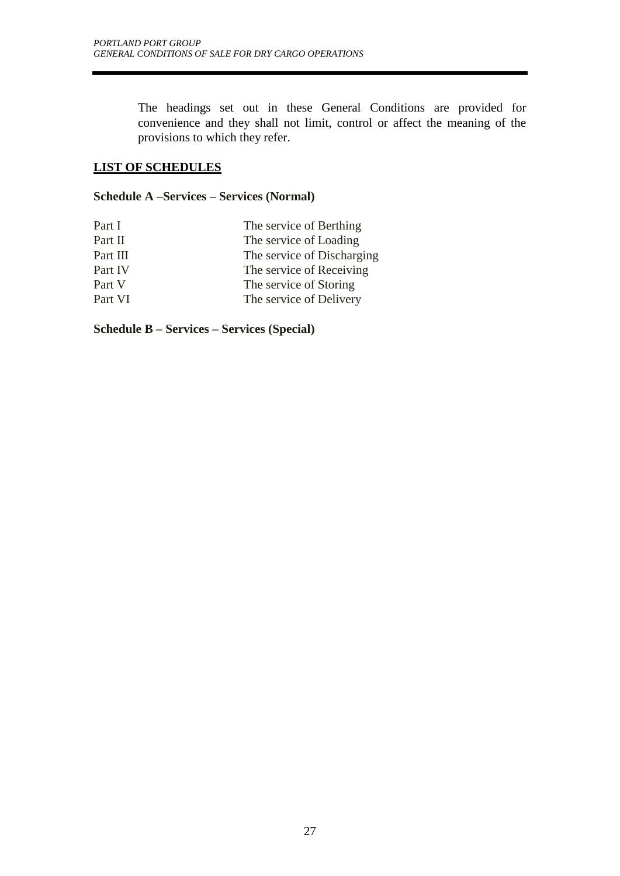The headings set out in these General Conditions are provided for convenience and they shall not limit, control or affect the meaning of the provisions to which they refer.

# **LIST OF SCHEDULES**

#### **Schedule A –Services – Services (Normal)**

| Part I   | The service of Berthing    |
|----------|----------------------------|
| Part II  | The service of Loading     |
| Part III | The service of Discharging |
| Part IV  | The service of Receiving   |
| Part V   | The service of Storing     |
| Part VI  | The service of Delivery    |

**Schedule B – Services – Services (Special)**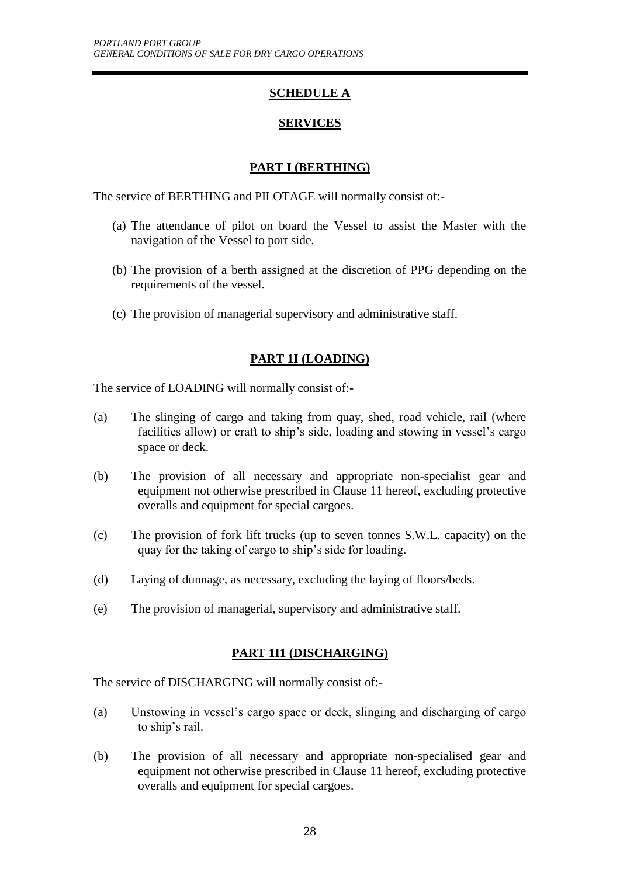# **SCHEDULE A**

# **SERVICES**

# **PART I (BERTHING)**

The service of BERTHING and PILOTAGE will normally consist of:-

- (a) The attendance of pilot on board the Vessel to assist the Master with the navigation of the Vessel to port side.
- (b) The provision of a berth assigned at the discretion of PPG depending on the requirements of the vessel.
- (c) The provision of managerial supervisory and administrative staff.

# **PART 1I (LOADING)**

The service of LOADING will normally consist of:-

- (a) The slinging of cargo and taking from quay, shed, road vehicle, rail (where facilities allow) or craft to ship's side, loading and stowing in vessel's cargo space or deck.
- (b) The provision of all necessary and appropriate non-specialist gear and equipment not otherwise prescribed in Clause 11 hereof, excluding protective overalls and equipment for special cargoes.
- (c) The provision of fork lift trucks (up to seven tonnes S.W.L. capacity) on the quay for the taking of cargo to ship's side for loading.
- (d) Laying of dunnage, as necessary, excluding the laying of floors/beds.
- (e) The provision of managerial, supervisory and administrative staff.

# **PART 1I1 (DISCHARGING)**

The service of DISCHARGING will normally consist of:-

- (a) Unstowing in vessel's cargo space or deck, slinging and discharging of cargo to ship's rail.
- (b) The provision of all necessary and appropriate non-specialised gear and equipment not otherwise prescribed in Clause 11 hereof, excluding protective overalls and equipment for special cargoes.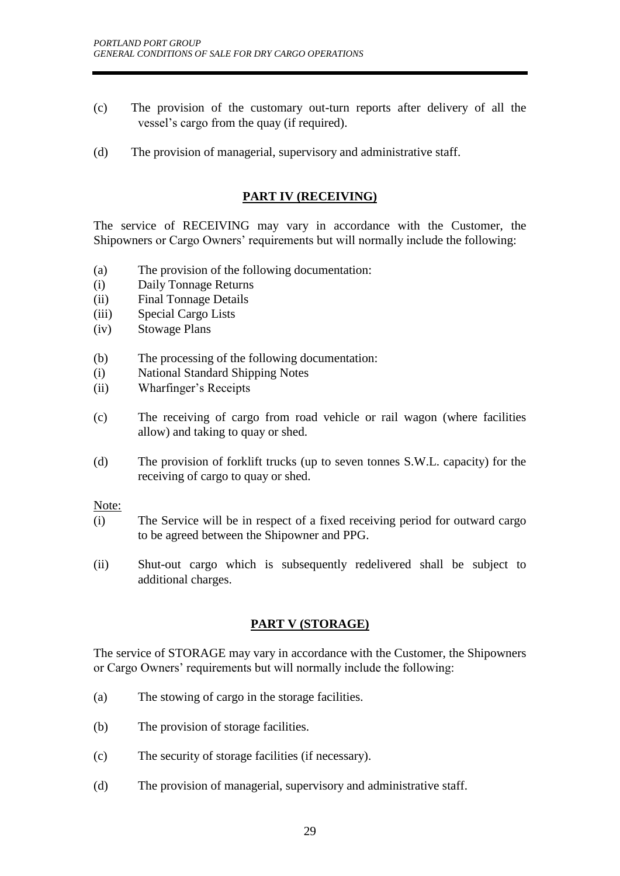- (c) The provision of the customary out-turn reports after delivery of all the vessel's cargo from the quay (if required).
- (d) The provision of managerial, supervisory and administrative staff.

#### **PART IV (RECEIVING)**

The service of RECEIVING may vary in accordance with the Customer, the Shipowners or Cargo Owners' requirements but will normally include the following:

- (a) The provision of the following documentation:
- (i) Daily Tonnage Returns
- (ii) Final Tonnage Details
- (iii) Special Cargo Lists
- (iv) Stowage Plans
- (b) The processing of the following documentation:
- (i) National Standard Shipping Notes
- (ii) Wharfinger's Receipts
- (c) The receiving of cargo from road vehicle or rail wagon (where facilities allow) and taking to quay or shed.
- (d) The provision of forklift trucks (up to seven tonnes S.W.L. capacity) for the receiving of cargo to quay or shed.

Note:

- (i) The Service will be in respect of a fixed receiving period for outward cargo to be agreed between the Shipowner and PPG.
- (ii) Shut-out cargo which is subsequently redelivered shall be subject to additional charges.

# **PART V (STORAGE)**

The service of STORAGE may vary in accordance with the Customer, the Shipowners or Cargo Owners' requirements but will normally include the following:

- (a) The stowing of cargo in the storage facilities.
- (b) The provision of storage facilities.
- (c) The security of storage facilities (if necessary).
- (d) The provision of managerial, supervisory and administrative staff.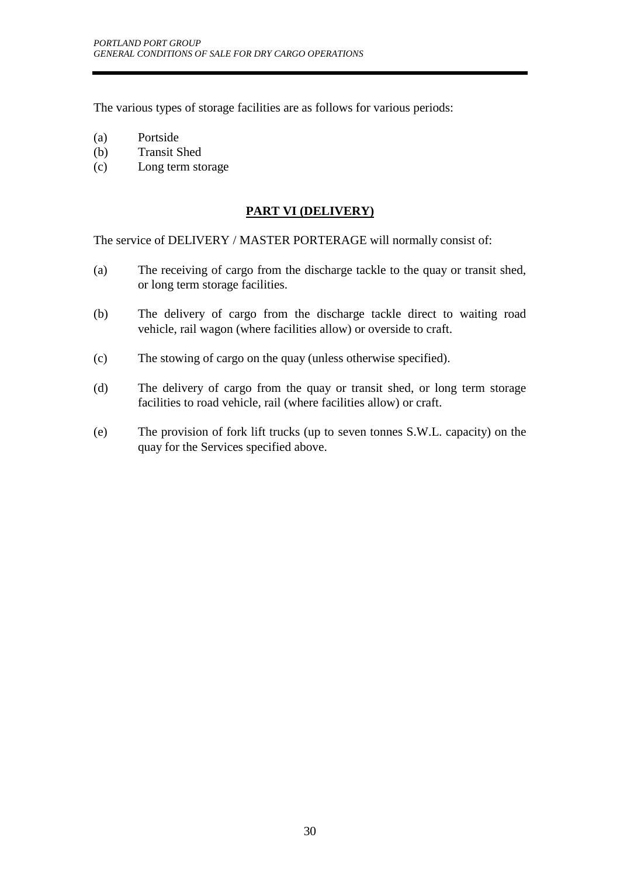The various types of storage facilities are as follows for various periods:

- (a) Portside
- (b) Transit Shed
- (c) Long term storage

# **PART VI (DELIVERY)**

The service of DELIVERY / MASTER PORTERAGE will normally consist of:

- (a) The receiving of cargo from the discharge tackle to the quay or transit shed, or long term storage facilities.
- (b) The delivery of cargo from the discharge tackle direct to waiting road vehicle, rail wagon (where facilities allow) or overside to craft.
- (c) The stowing of cargo on the quay (unless otherwise specified).
- (d) The delivery of cargo from the quay or transit shed, or long term storage facilities to road vehicle, rail (where facilities allow) or craft.
- (e) The provision of fork lift trucks (up to seven tonnes S.W.L. capacity) on the quay for the Services specified above.